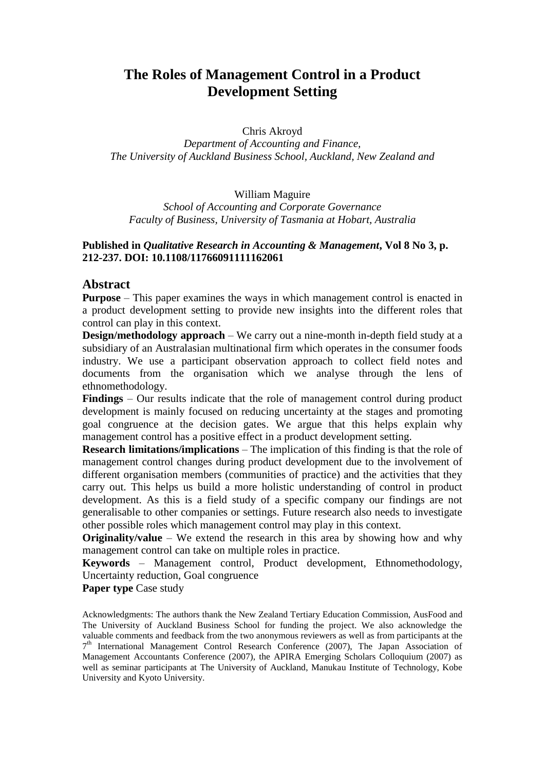# **The Roles of Management Control in a Product Development Setting**

Chris Akroyd

*Department of Accounting and Finance, The University of Auckland Business School, Auckland, New Zealand and*

William Maguire

*School of Accounting and Corporate Governance Faculty of Business, University of Tasmania at Hobart, Australia*

# **Published in** *Qualitative Research in Accounting & Management***, Vol 8 No 3, p. 212-237. DOI: 10.1108/11766091111162061**

# **Abstract**

**Purpose** – This paper examines the ways in which management control is enacted in a product development setting to provide new insights into the different roles that control can play in this context.

**Design/methodology approach** – We carry out a nine-month in-depth field study at a subsidiary of an Australasian multinational firm which operates in the consumer foods industry. We use a participant observation approach to collect field notes and documents from the organisation which we analyse through the lens of ethnomethodology.

**Findings** – Our results indicate that the role of management control during product development is mainly focused on reducing uncertainty at the stages and promoting goal congruence at the decision gates. We argue that this helps explain why management control has a positive effect in a product development setting.

**Research limitations/implications** – The implication of this finding is that the role of management control changes during product development due to the involvement of different organisation members (communities of practice) and the activities that they carry out. This helps us build a more holistic understanding of control in product development. As this is a field study of a specific company our findings are not generalisable to other companies or settings. Future research also needs to investigate other possible roles which management control may play in this context.

**Originality/value** – We extend the research in this area by showing how and why management control can take on multiple roles in practice.

**Keywords** – Management control, Product development, Ethnomethodology, Uncertainty reduction, Goal congruence

**Paper type** Case study

Acknowledgments: The authors thank the New Zealand Tertiary Education Commission, AusFood and The University of Auckland Business School for funding the project. We also acknowledge the valuable comments and feedback from the two anonymous reviewers as well as from participants at the 7<sup>th</sup> International Management Control Research Conference (2007), The Japan Association of Management Accountants Conference (2007), the APIRA Emerging Scholars Colloquium (2007) as well as seminar participants at The University of Auckland, Manukau Institute of Technology, Kobe University and Kyoto University.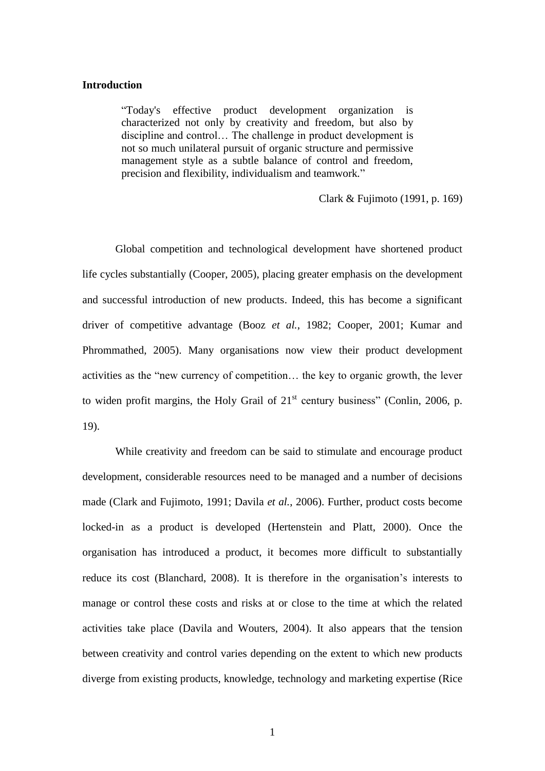#### **Introduction**

"Today's effective product development organization is characterized not only by creativity and freedom, but also by discipline and control… The challenge in product development is not so much unilateral pursuit of organic structure and permissive management style as a subtle balance of control and freedom, precision and flexibility, individualism and teamwork*.*"

Clark & Fujimoto (1991, p. 169)

Global competition and technological development have shortened product life cycles substantially (Cooper, 2005), placing greater emphasis on the development and successful introduction of new products. Indeed, this has become a significant driver of competitive advantage (Booz *et al.*, 1982; Cooper, 2001; Kumar and Phrommathed, 2005). Many organisations now view their product development activities as the "new currency of competition… the key to organic growth, the lever to widen profit margins, the Holy Grail of  $21<sup>st</sup>$  century business" (Conlin, 2006, p. 19).

While creativity and freedom can be said to stimulate and encourage product development, considerable resources need to be managed and a number of decisions made (Clark and Fujimoto, 1991; Davila *et al.*, 2006). Further, product costs become locked-in as a product is developed (Hertenstein and Platt, 2000). Once the organisation has introduced a product, it becomes more difficult to substantially reduce its cost (Blanchard, 2008). It is therefore in the organisation's interests to manage or control these costs and risks at or close to the time at which the related activities take place (Davila and Wouters, 2004). It also appears that the tension between creativity and control varies depending on the extent to which new products diverge from existing products, knowledge, technology and marketing expertise (Rice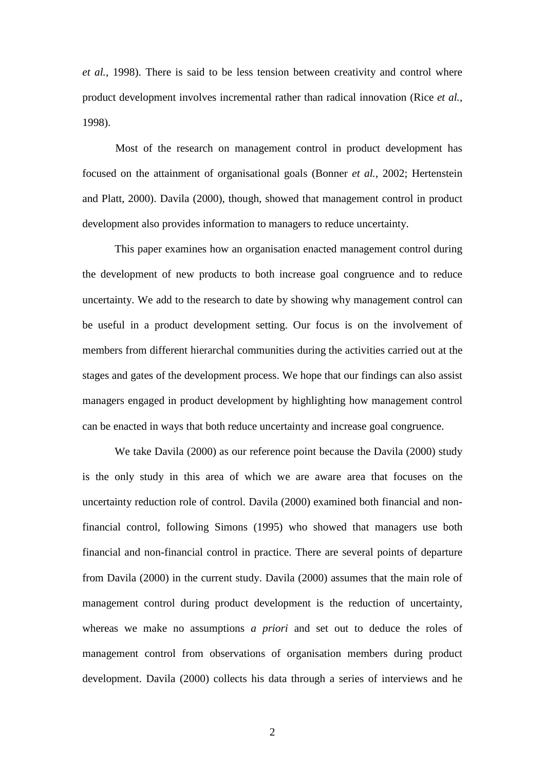*et al.*, 1998). There is said to be less tension between creativity and control where product development involves incremental rather than radical innovation (Rice *et al.*, 1998).

Most of the research on management control in product development has focused on the attainment of organisational goals (Bonner *et al.*, 2002; Hertenstein and Platt, 2000). Davila (2000), though, showed that management control in product development also provides information to managers to reduce uncertainty.

This paper examines how an organisation enacted management control during the development of new products to both increase goal congruence and to reduce uncertainty. We add to the research to date by showing why management control can be useful in a product development setting. Our focus is on the involvement of members from different hierarchal communities during the activities carried out at the stages and gates of the development process. We hope that our findings can also assist managers engaged in product development by highlighting how management control can be enacted in ways that both reduce uncertainty and increase goal congruence.

We take Davila (2000) as our reference point because the Davila (2000) study is the only study in this area of which we are aware area that focuses on the uncertainty reduction role of control. Davila (2000) examined both financial and nonfinancial control, following Simons (1995) who showed that managers use both financial and non-financial control in practice. There are several points of departure from Davila (2000) in the current study. Davila (2000) assumes that the main role of management control during product development is the reduction of uncertainty, whereas we make no assumptions *a priori* and set out to deduce the roles of management control from observations of organisation members during product development. Davila (2000) collects his data through a series of interviews and he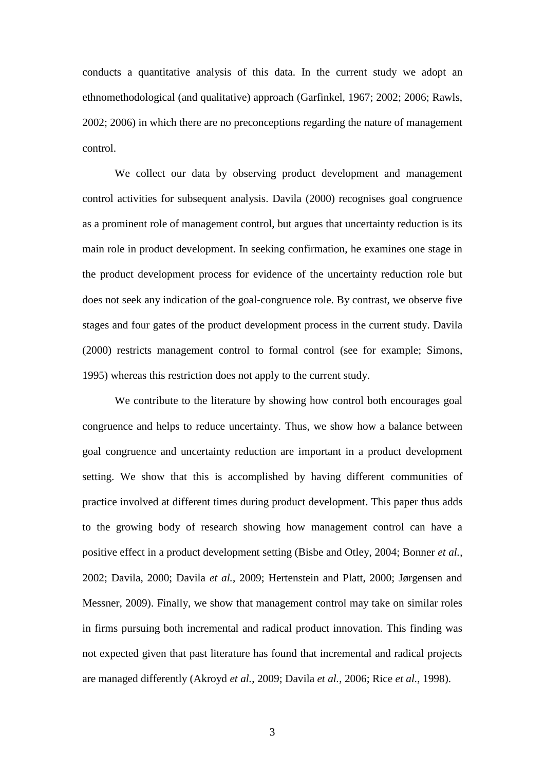conducts a quantitative analysis of this data. In the current study we adopt an ethnomethodological (and qualitative) approach (Garfinkel, 1967; 2002; 2006; Rawls, 2002; 2006) in which there are no preconceptions regarding the nature of management control.

We collect our data by observing product development and management control activities for subsequent analysis. Davila (2000) recognises goal congruence as a prominent role of management control, but argues that uncertainty reduction is its main role in product development. In seeking confirmation, he examines one stage in the product development process for evidence of the uncertainty reduction role but does not seek any indication of the goal-congruence role. By contrast, we observe five stages and four gates of the product development process in the current study. Davila (2000) restricts management control to formal control (see for example; Simons, 1995) whereas this restriction does not apply to the current study.

We contribute to the literature by showing how control both encourages goal congruence and helps to reduce uncertainty. Thus, we show how a balance between goal congruence and uncertainty reduction are important in a product development setting. We show that this is accomplished by having different communities of practice involved at different times during product development. This paper thus adds to the growing body of research showing how management control can have a positive effect in a product development setting (Bisbe and Otley, 2004; Bonner *et al.*, 2002; Davila, 2000; Davila *et al.*, 2009; Hertenstein and Platt, 2000; Jørgensen and Messner, 2009). Finally, we show that management control may take on similar roles in firms pursuing both incremental and radical product innovation. This finding was not expected given that past literature has found that incremental and radical projects are managed differently (Akroyd *et al.*, 2009; Davila *et al.*, 2006; Rice *et al.*, 1998).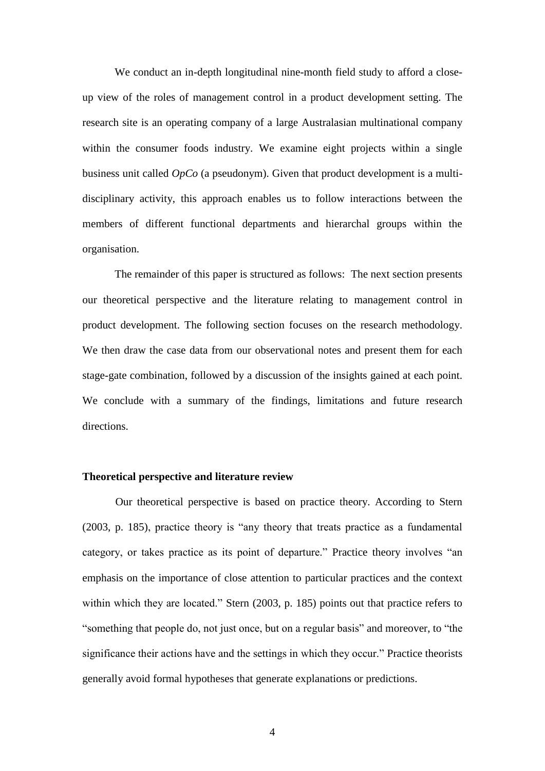We conduct an in-depth longitudinal nine-month field study to afford a closeup view of the roles of management control in a product development setting. The research site is an operating company of a large Australasian multinational company within the consumer foods industry. We examine eight projects within a single business unit called *OpCo* (a pseudonym). Given that product development is a multidisciplinary activity, this approach enables us to follow interactions between the members of different functional departments and hierarchal groups within the organisation.

The remainder of this paper is structured as follows: The next section presents our theoretical perspective and the literature relating to management control in product development. The following section focuses on the research methodology. We then draw the case data from our observational notes and present them for each stage-gate combination, followed by a discussion of the insights gained at each point. We conclude with a summary of the findings, limitations and future research directions.

# **Theoretical perspective and literature review**

Our theoretical perspective is based on practice theory. According to Stern (2003, p. 185), practice theory is "any theory that treats practice as a fundamental category, or takes practice as its point of departure." Practice theory involves "an emphasis on the importance of close attention to particular practices and the context within which they are located." Stern (2003, p. 185) points out that practice refers to "something that people do, not just once, but on a regular basis" and moreover, to "the significance their actions have and the settings in which they occur." Practice theorists generally avoid formal hypotheses that generate explanations or predictions.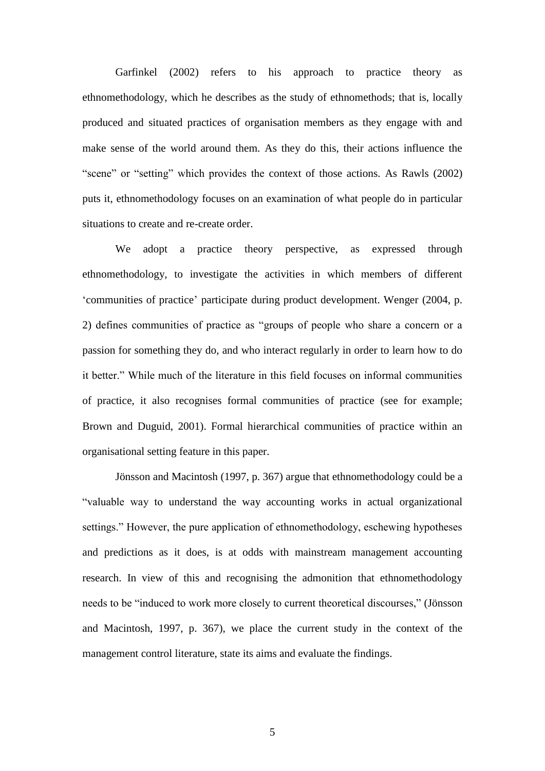Garfinkel (2002) refers to his approach to practice theory as ethnomethodology, which he describes as the study of ethnomethods; that is, locally produced and situated practices of organisation members as they engage with and make sense of the world around them. As they do this, their actions influence the "scene" or "setting" which provides the context of those actions. As Rawls (2002) puts it, ethnomethodology focuses on an examination of what people do in particular situations to create and re-create order.

We adopt a practice theory perspective, as expressed through ethnomethodology, to investigate the activities in which members of different 'communities of practice' participate during product development. Wenger (2004, p. 2) defines communities of practice as "groups of people who share a concern or a passion for something they do, and who interact regularly in order to learn how to do it better." While much of the literature in this field focuses on informal communities of practice, it also recognises formal communities of practice (see for example; Brown and Duguid, 2001). Formal hierarchical communities of practice within an organisational setting feature in this paper.

Jönsson and Macintosh (1997, p. 367) argue that ethnomethodology could be a "valuable way to understand the way accounting works in actual organizational settings." However, the pure application of ethnomethodology, eschewing hypotheses and predictions as it does, is at odds with mainstream management accounting research. In view of this and recognising the admonition that ethnomethodology needs to be "induced to work more closely to current theoretical discourses," (Jönsson and Macintosh, 1997, p. 367), we place the current study in the context of the management control literature, state its aims and evaluate the findings.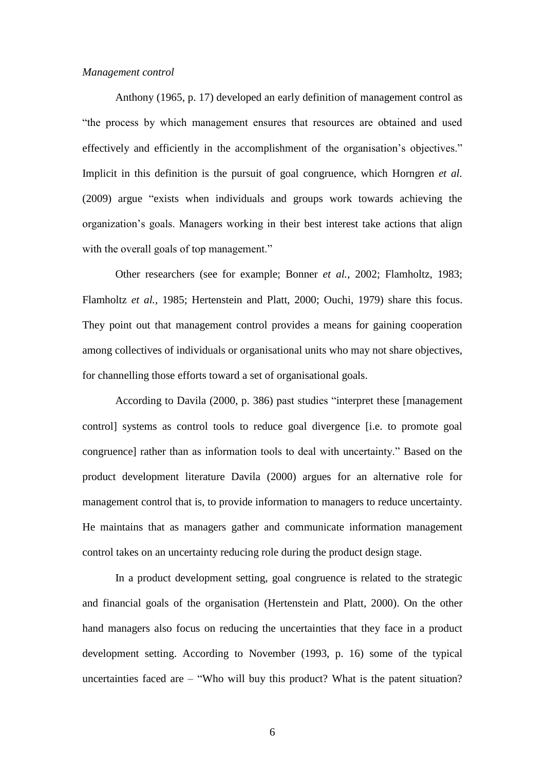#### *Management control*

Anthony (1965, p. 17) developed an early definition of management control as "the process by which management ensures that resources are obtained and used effectively and efficiently in the accomplishment of the organisation's objectives." Implicit in this definition is the pursuit of goal congruence, which Horngren *et al.* (2009) argue "exists when individuals and groups work towards achieving the organization's goals. Managers working in their best interest take actions that align with the overall goals of top management."

Other researchers (see for example; Bonner *et al.*, 2002; Flamholtz, 1983; Flamholtz *et al.*, 1985; Hertenstein and Platt, 2000; Ouchi, 1979) share this focus. They point out that management control provides a means for gaining cooperation among collectives of individuals or organisational units who may not share objectives, for channelling those efforts toward a set of organisational goals.

According to Davila (2000, p. 386) past studies "interpret these [management control] systems as control tools to reduce goal divergence [i.e. to promote goal congruence] rather than as information tools to deal with uncertainty." Based on the product development literature Davila (2000) argues for an alternative role for management control that is, to provide information to managers to reduce uncertainty. He maintains that as managers gather and communicate information management control takes on an uncertainty reducing role during the product design stage.

In a product development setting, goal congruence is related to the strategic and financial goals of the organisation (Hertenstein and Platt, 2000). On the other hand managers also focus on reducing the uncertainties that they face in a product development setting. According to November (1993, p. 16) some of the typical uncertainties faced are  $-$  "Who will buy this product? What is the patent situation?

6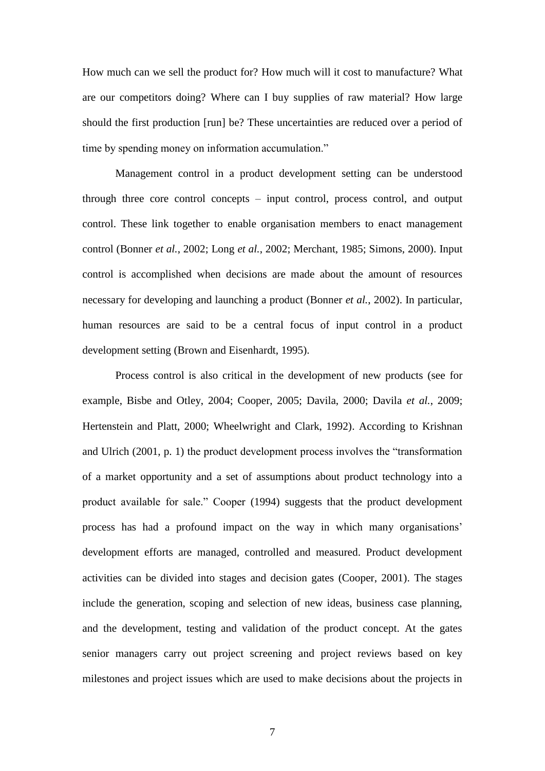How much can we sell the product for? How much will it cost to manufacture? What are our competitors doing? Where can I buy supplies of raw material? How large should the first production [run] be? These uncertainties are reduced over a period of time by spending money on information accumulation."

Management control in a product development setting can be understood through three core control concepts – input control, process control, and output control. These link together to enable organisation members to enact management control (Bonner *et al.*, 2002; Long *et al.*, 2002; Merchant, 1985; Simons, 2000). Input control is accomplished when decisions are made about the amount of resources necessary for developing and launching a product (Bonner *et al.*, 2002). In particular, human resources are said to be a central focus of input control in a product development setting (Brown and Eisenhardt, 1995).

Process control is also critical in the development of new products (see for example, Bisbe and Otley, 2004; Cooper, 2005; Davila, 2000; Davila *et al.*, 2009; Hertenstein and Platt, 2000; Wheelwright and Clark, 1992). According to Krishnan and Ulrich (2001, p. 1) the product development process involves the "transformation of a market opportunity and a set of assumptions about product technology into a product available for sale." Cooper (1994) suggests that the product development process has had a profound impact on the way in which many organisations' development efforts are managed, controlled and measured. Product development activities can be divided into stages and decision gates (Cooper, 2001). The stages include the generation, scoping and selection of new ideas, business case planning, and the development, testing and validation of the product concept. At the gates senior managers carry out project screening and project reviews based on key milestones and project issues which are used to make decisions about the projects in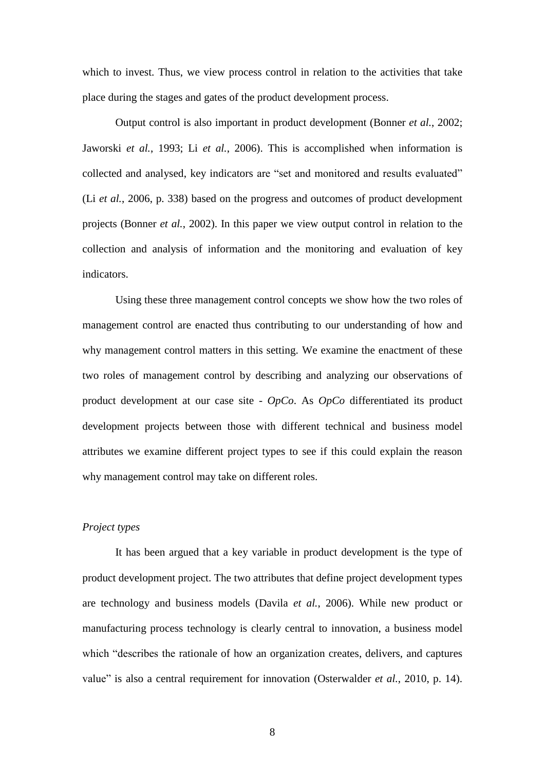which to invest. Thus, we view process control in relation to the activities that take place during the stages and gates of the product development process.

Output control is also important in product development (Bonner *et al.*, 2002; Jaworski *et al.*, 1993; Li *et al.*, 2006). This is accomplished when information is collected and analysed, key indicators are "set and monitored and results evaluated" (Li *et al.*, 2006, p. 338) based on the progress and outcomes of product development projects (Bonner *et al.*, 2002). In this paper we view output control in relation to the collection and analysis of information and the monitoring and evaluation of key indicators.

Using these three management control concepts we show how the two roles of management control are enacted thus contributing to our understanding of how and why management control matters in this setting. We examine the enactment of these two roles of management control by describing and analyzing our observations of product development at our case site - *OpCo*. As *OpCo* differentiated its product development projects between those with different technical and business model attributes we examine different project types to see if this could explain the reason why management control may take on different roles.

# *Project types*

It has been argued that a key variable in product development is the type of product development project. The two attributes that define project development types are technology and business models (Davila *et al.*, 2006). While new product or manufacturing process technology is clearly central to innovation, a business model which "describes the [rationale](http://en.wikipedia.org/wiki/Explanation) of how an [organization](http://en.wikipedia.org/wiki/Organization) creates, delivers, and captures value" is also a central requirement for innovation (Osterwalder *et al.*, 2010, p. 14).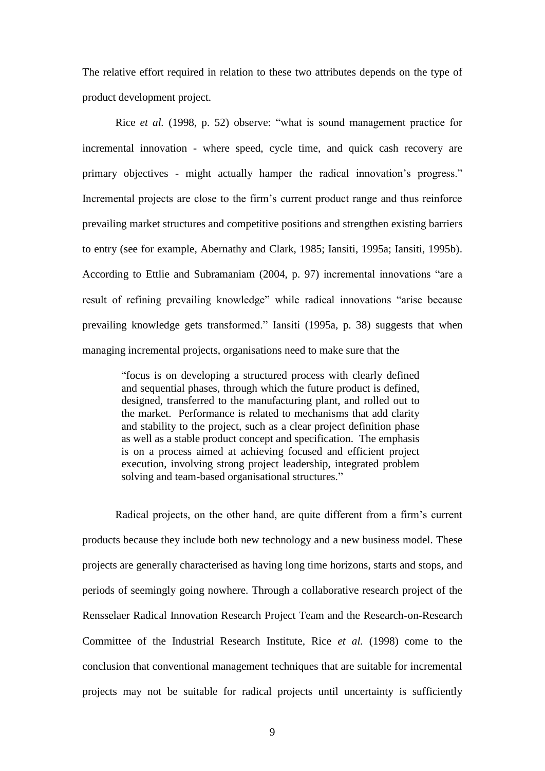The relative effort required in relation to these two attributes depends on the type of product development project.

Rice *et al.* (1998, p. 52) observe: "what is sound management practice for incremental innovation - where speed, cycle time, and quick cash recovery are primary objectives - might actually hamper the radical innovation's progress." Incremental projects are close to the firm's current product range and thus reinforce prevailing market structures and competitive positions and strengthen existing barriers to entry (see for example, Abernathy and Clark, 1985; Iansiti, 1995a; Iansiti, 1995b). According to Ettlie and Subramaniam (2004, p. 97) incremental innovations "are a result of refining prevailing knowledge" while radical innovations "arise because prevailing knowledge gets transformed." Iansiti (1995a, p. 38) suggests that when managing incremental projects, organisations need to make sure that the

"focus is on developing a structured process with clearly defined and sequential phases, through which the future product is defined, designed, transferred to the manufacturing plant, and rolled out to the market. Performance is related to mechanisms that add clarity and stability to the project, such as a clear project definition phase as well as a stable product concept and specification. The emphasis is on a process aimed at achieving focused and efficient project execution, involving strong project leadership, integrated problem solving and team-based organisational structures."

Radical projects, on the other hand, are quite different from a firm's current products because they include both new technology and a new business model. These projects are generally characterised as having long time horizons, starts and stops, and periods of seemingly going nowhere. Through a collaborative research project of the Rensselaer Radical Innovation Research Project Team and the Research-on-Research Committee of the Industrial Research Institute, Rice *et al.* (1998) come to the conclusion that conventional management techniques that are suitable for incremental projects may not be suitable for radical projects until uncertainty is sufficiently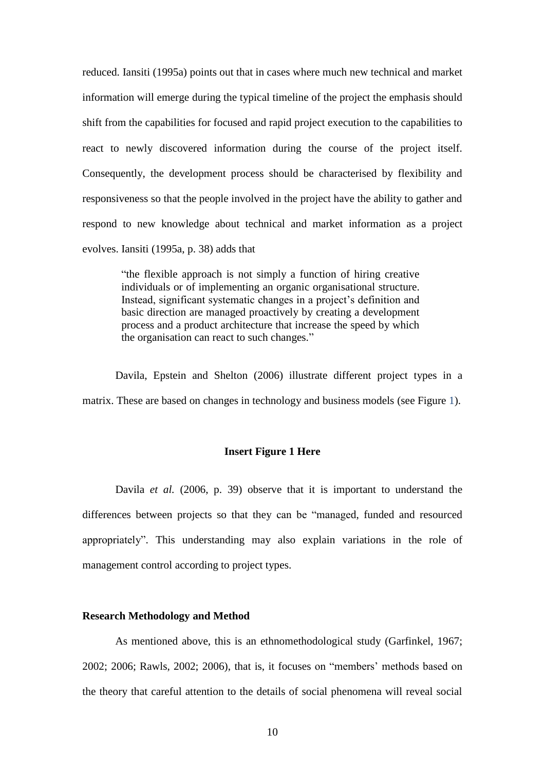reduced. Iansiti (1995a) points out that in cases where much new technical and market information will emerge during the typical timeline of the project the emphasis should shift from the capabilities for focused and rapid project execution to the capabilities to react to newly discovered information during the course of the project itself. Consequently, the development process should be characterised by flexibility and responsiveness so that the people involved in the project have the ability to gather and respond to new knowledge about technical and market information as a project evolves. Iansiti (1995a, p. 38) adds that

> "the flexible approach is not simply a function of hiring creative individuals or of implementing an organic organisational structure. Instead, significant systematic changes in a project's definition and basic direction are managed proactively by creating a development process and a product architecture that increase the speed by which the organisation can react to such changes."

Davila, Epstein and Shelton (2006) illustrate different project types in a matrix. These are based on changes in technology and business models (see Figure 1).

#### **Insert Figure 1 Here**

Davila *et al.* (2006, p. 39) observe that it is important to understand the differences between projects so that they can be "managed, funded and resourced appropriately". This understanding may also explain variations in the role of management control according to project types.

#### **Research Methodology and Method**

As mentioned above, this is an ethnomethodological study (Garfinkel, 1967; 2002; 2006; Rawls, 2002; 2006), that is, it focuses on "members' methods based on the theory that careful attention to the details of social phenomena will reveal social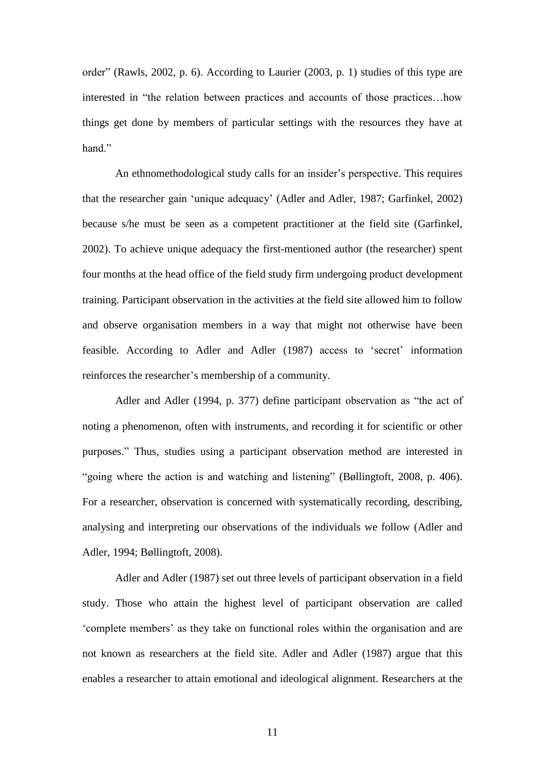order" (Rawls, 2002, p. 6). According to Laurier (2003, p. 1) studies of this type are interested in "the relation between practices and accounts of those practices…how things get done by members of particular settings with the resources they have at hand"

An ethnomethodological study calls for an insider's perspective. This requires that the researcher gain 'unique adequacy' (Adler and Adler, 1987; Garfinkel, 2002) because s/he must be seen as a competent practitioner at the field site (Garfinkel, 2002). To achieve unique adequacy the first-mentioned author (the researcher) spent four months at the head office of the field study firm undergoing product development training. Participant observation in the activities at the field site allowed him to follow and observe organisation members in a way that might not otherwise have been feasible. According to Adler and Adler (1987) access to 'secret' information reinforces the researcher's membership of a community.

Adler and Adler (1994, p. 377) define participant observation as "the act of noting a phenomenon, often with instruments, and recording it for scientific or other purposes." Thus, studies using a participant observation method are interested in "going where the action is and watching and listening" (Bøllingtoft, 2008, p. 406). For a researcher, observation is concerned with systematically recording, describing, analysing and interpreting our observations of the individuals we follow (Adler and Adler, 1994; Bøllingtoft, 2008).

Adler and Adler (1987) set out three levels of participant observation in a field study. Those who attain the highest level of participant observation are called 'complete members' as they take on functional roles within the organisation and are not known as researchers at the field site. Adler and Adler (1987) argue that this enables a researcher to attain emotional and ideological alignment. Researchers at the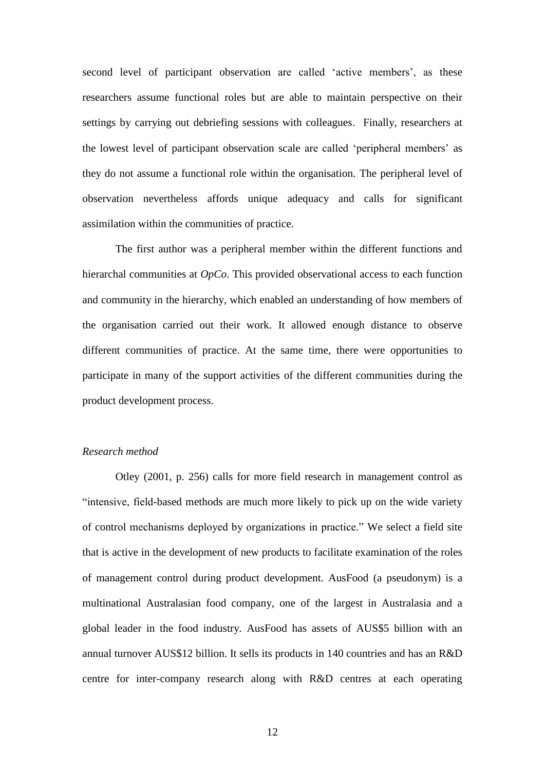second level of participant observation are called 'active members', as these researchers assume functional roles but are able to maintain perspective on their settings by carrying out debriefing sessions with colleagues. Finally, researchers at the lowest level of participant observation scale are called 'peripheral members' as they do not assume a functional role within the organisation. The peripheral level of observation nevertheless affords unique adequacy and calls for significant assimilation within the communities of practice.

The first author was a peripheral member within the different functions and hierarchal communities at *OpCo*. This provided observational access to each function and community in the hierarchy, which enabled an understanding of how members of the organisation carried out their work. It allowed enough distance to observe different communities of practice. At the same time, there were opportunities to participate in many of the support activities of the different communities during the product development process.

## *Research method*

Otley (2001, p. 256) calls for more field research in management control as "intensive, field-based methods are much more likely to pick up on the wide variety of control mechanisms deployed by organizations in practice." We select a field site that is active in the development of new products to facilitate examination of the roles of management control during product development. AusFood (a pseudonym) is a multinational Australasian food company, one of the largest in Australasia and a global leader in the food industry. AusFood has assets of AUS\$5 billion with an annual turnover AUS\$12 billion. It sells its products in 140 countries and has an R&D centre for inter-company research along with R&D centres at each operating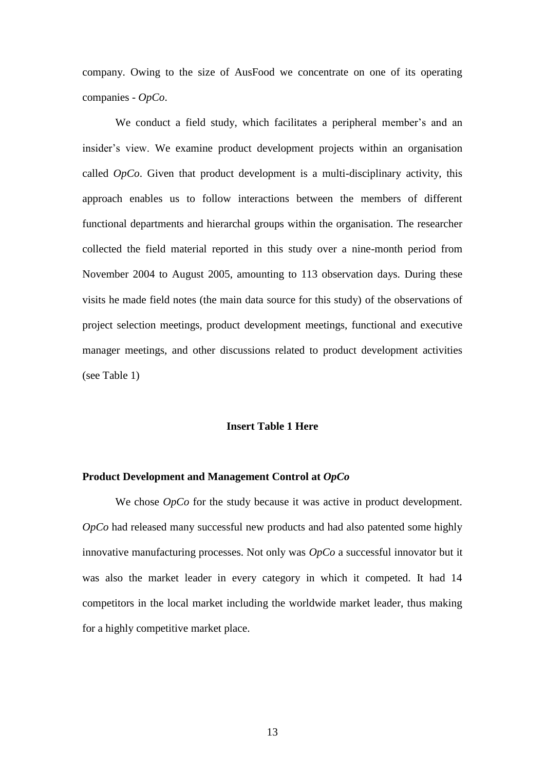company. Owing to the size of AusFood we concentrate on one of its operating companies - *OpCo*.

We conduct a field study, which facilitates a peripheral member's and an insider's view. We examine product development projects within an organisation called *OpCo*. Given that product development is a multi-disciplinary activity, this approach enables us to follow interactions between the members of different functional departments and hierarchal groups within the organisation. The researcher collected the field material reported in this study over a nine-month period from November 2004 to August 2005, amounting to 113 observation days. During these visits he made field notes (the main data source for this study) of the observations of project selection meetings, product development meetings, functional and executive manager meetings, and other discussions related to product development activities (see Table 1)

#### **Insert Table 1 Here**

#### **Product Development and Management Control at** *OpCo*

We chose *OpCo* for the study because it was active in product development. *OpCo* had released many successful new products and had also patented some highly innovative manufacturing processes. Not only was *OpCo* a successful innovator but it was also the market leader in every category in which it competed. It had 14 competitors in the local market including the worldwide market leader, thus making for a highly competitive market place.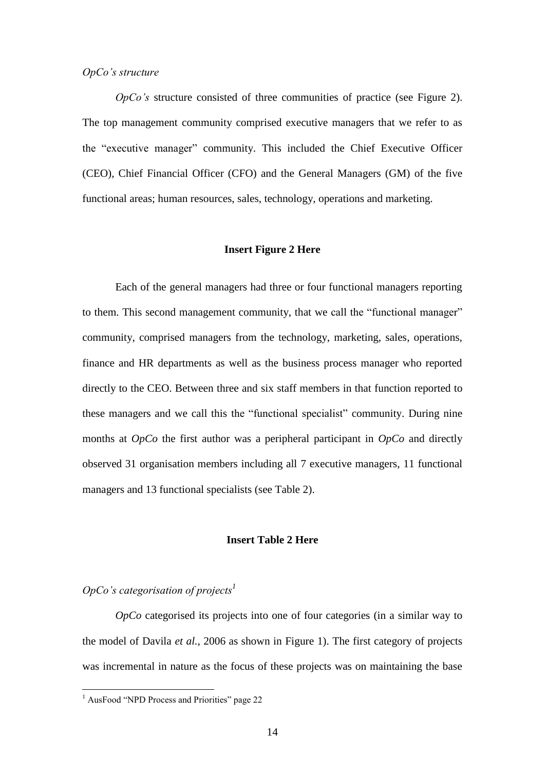#### *OpCo's structure*

*OpCo's* structure consisted of three communities of practice (see Figure 2). The top management community comprised executive managers that we refer to as the "executive manager" community. This included the Chief Executive Officer (CEO), Chief Financial Officer (CFO) and the General Managers (GM) of the five functional areas; human resources, sales, technology, operations and marketing.

#### **Insert Figure 2 Here**

Each of the general managers had three or four functional managers reporting to them. This second management community, that we call the "functional manager" community, comprised managers from the technology, marketing, sales, operations, finance and HR departments as well as the business process manager who reported directly to the CEO. Between three and six staff members in that function reported to these managers and we call this the "functional specialist" community. During nine months at *OpCo* the first author was a peripheral participant in *OpCo* and directly observed 31 organisation members including all 7 executive managers, 11 functional managers and 13 functional specialists (see Table 2).

#### **Insert Table 2 Here**

# *OpCo's categorisation of projects<sup>1</sup>*

*OpCo* categorised its projects into one of four categories (in a similar way to the model of Davila *et al.*, 2006 as shown in Figure 1). The first category of projects was incremental in nature as the focus of these projects was on maintaining the base

1

<sup>&</sup>lt;sup>1</sup> AusFood "NPD Process and Priorities" page 22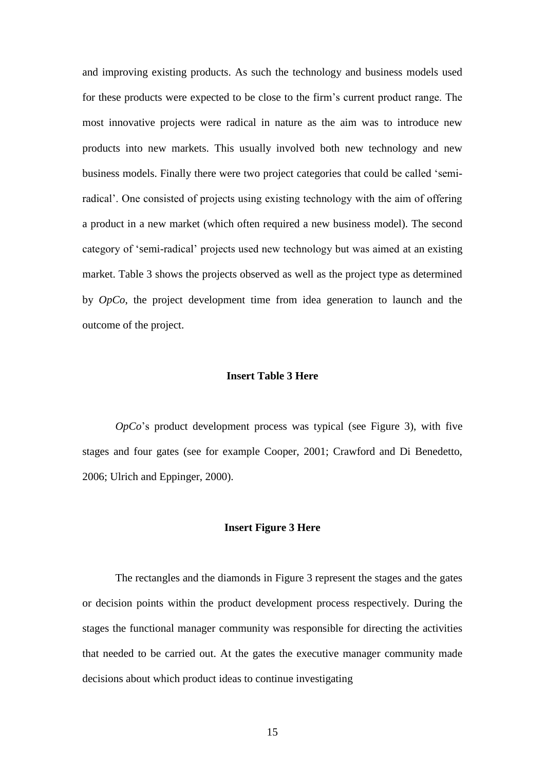and improving existing products. As such the technology and business models used for these products were expected to be close to the firm's current product range. The most innovative projects were radical in nature as the aim was to introduce new products into new markets. This usually involved both new technology and new business models. Finally there were two project categories that could be called 'semiradical'. One consisted of projects using existing technology with the aim of offering a product in a new market (which often required a new business model). The second category of 'semi-radical' projects used new technology but was aimed at an existing market. Table 3 shows the projects observed as well as the project type as determined by *OpCo*, the project development time from idea generation to launch and the outcome of the project.

#### **Insert Table 3 Here**

*OpCo*'s product development process was typical (see Figure 3), with five stages and four gates (see for example Cooper, 2001; Crawford and Di Benedetto, 2006; Ulrich and Eppinger, 2000).

#### **Insert Figure 3 Here**

The rectangles and the diamonds in Figure 3 represent the stages and the gates or decision points within the product development process respectively. During the stages the functional manager community was responsible for directing the activities that needed to be carried out. At the gates the executive manager community made decisions about which product ideas to continue investigating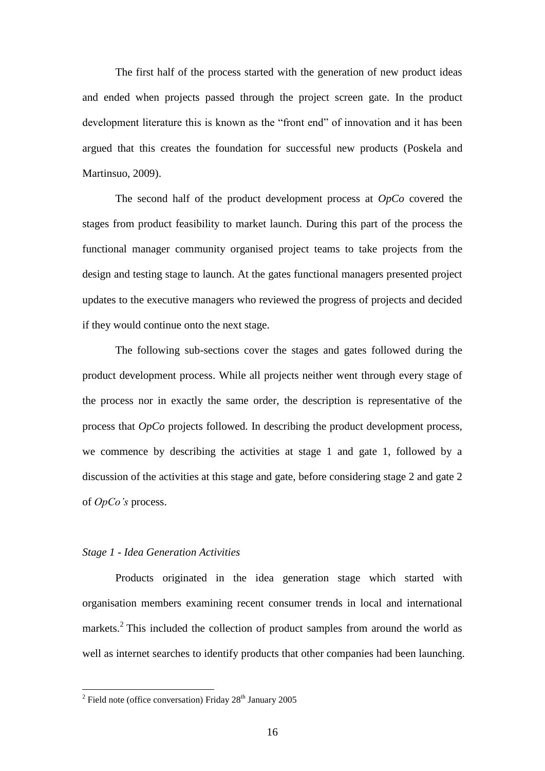The first half of the process started with the generation of new product ideas and ended when projects passed through the project screen gate. In the product development literature this is known as the "front end" of innovation and it has been argued that this creates the foundation for successful new products (Poskela and Martinsuo, 2009).

The second half of the product development process at *OpCo* covered the stages from product feasibility to market launch. During this part of the process the functional manager community organised project teams to take projects from the design and testing stage to launch. At the gates functional managers presented project updates to the executive managers who reviewed the progress of projects and decided if they would continue onto the next stage.

The following sub-sections cover the stages and gates followed during the product development process. While all projects neither went through every stage of the process nor in exactly the same order, the description is representative of the process that *OpCo* projects followed. In describing the product development process, we commence by describing the activities at stage 1 and gate 1, followed by a discussion of the activities at this stage and gate, before considering stage 2 and gate 2 of *OpCo's* process.

#### *Stage 1 - Idea Generation Activities*

Products originated in the idea generation stage which started with organisation members examining recent consumer trends in local and international markets.<sup>2</sup> This included the collection of product samples from around the world as well as internet searches to identify products that other companies had been launching.

<sup>&</sup>lt;sup>2</sup> Field note (office conversation) Friday 28<sup>th</sup> January 2005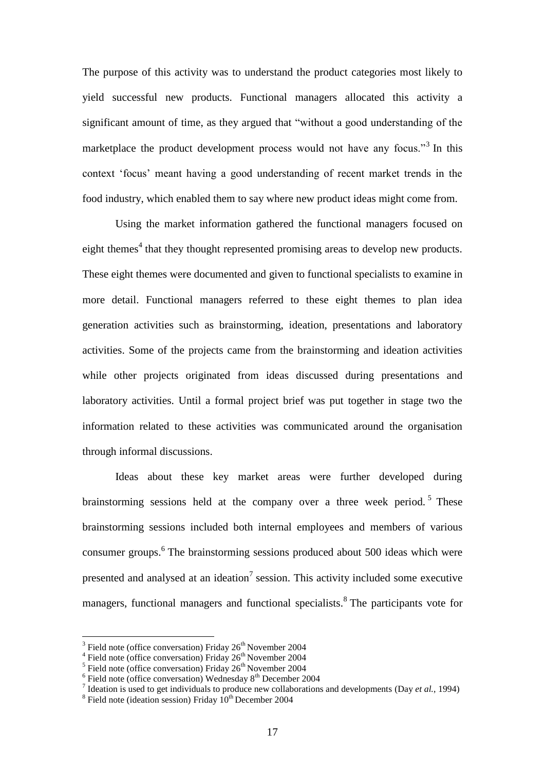The purpose of this activity was to understand the product categories most likely to yield successful new products. Functional managers allocated this activity a significant amount of time, as they argued that "without a good understanding of the marketplace the product development process would not have any focus."<sup>3</sup> In this context 'focus' meant having a good understanding of recent market trends in the food industry, which enabled them to say where new product ideas might come from.

Using the market information gathered the functional managers focused on eight themes<sup>4</sup> that they thought represented promising areas to develop new products. These eight themes were documented and given to functional specialists to examine in more detail. Functional managers referred to these eight themes to plan idea generation activities such as brainstorming, ideation, presentations and laboratory activities. Some of the projects came from the brainstorming and ideation activities while other projects originated from ideas discussed during presentations and laboratory activities. Until a formal project brief was put together in stage two the information related to these activities was communicated around the organisation through informal discussions.

Ideas about these key market areas were further developed during brainstorming sessions held at the company over a three week period.<sup>5</sup> These brainstorming sessions included both internal employees and members of various consumer groups. 6 The brainstorming sessions produced about 500 ideas which were presented and analysed at an ideation<sup>7</sup> session. This activity included some executive managers, functional managers and functional specialists.<sup>8</sup> The participants vote for

<sup>&</sup>lt;sup>3</sup> Field note (office conversation) Friday 26<sup>th</sup> November 2004<br><sup>4</sup> Field note (office conversation) Friday 26<sup>th</sup> November 2004

<sup>&</sup>lt;sup>5</sup> Field note (office conversation) Friday  $26^{th}$  November 2004<br><sup>6</sup> Field note (office conversation) Wednesday  $8^{th}$  December 2004

<sup>7</sup> Ideation is used to get individuals to produce new collaborations and developments (Day *et al.*, 1994)

<sup>&</sup>lt;sup>8</sup> Field note (ideation session) Friday  $10^{th}$  December 2004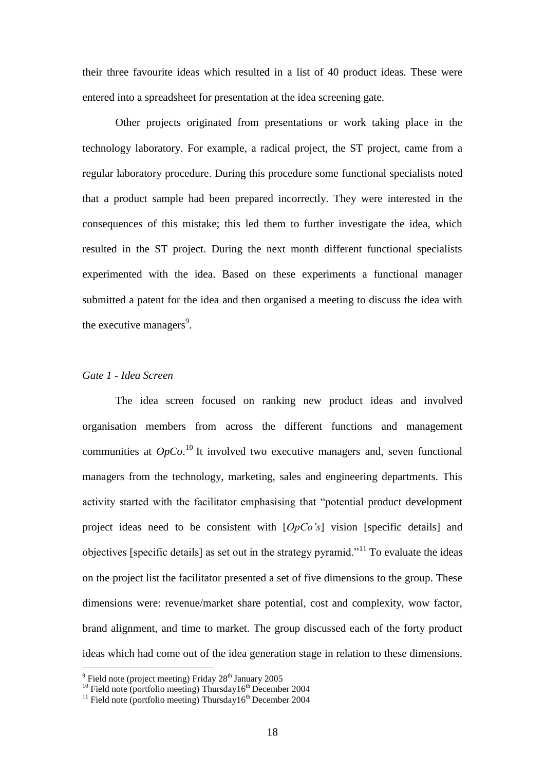their three favourite ideas which resulted in a list of 40 product ideas. These were entered into a spreadsheet for presentation at the idea screening gate.

Other projects originated from presentations or work taking place in the technology laboratory. For example, a radical project, the ST project, came from a regular laboratory procedure. During this procedure some functional specialists noted that a product sample had been prepared incorrectly. They were interested in the consequences of this mistake; this led them to further investigate the idea, which resulted in the ST project. During the next month different functional specialists experimented with the idea. Based on these experiments a functional manager submitted a patent for the idea and then organised a meeting to discuss the idea with the executive managers<sup>9</sup>.

# *Gate 1 - Idea Screen*

The idea screen focused on ranking new product ideas and involved organisation members from across the different functions and management communities at  $OpCo$ <sup>10</sup> It involved two executive managers and, seven functional managers from the technology, marketing, sales and engineering departments. This activity started with the facilitator emphasising that "potential product development project ideas need to be consistent with [*OpCo's*] vision [specific details] and objectives [specific details] as set out in the strategy pyramid.<sup> $11$ </sup> To evaluate the ideas on the project list the facilitator presented a set of five dimensions to the group. These dimensions were: revenue/market share potential, cost and complexity, wow factor, brand alignment, and time to market. The group discussed each of the forty product ideas which had come out of the idea generation stage in relation to these dimensions.

with the same of the setting of the Seinandary 2005<br>
Field note (project meeting) Friday 28<sup>th</sup> January 2005

 $10$  Field note (portfolio meeting) Thursday16<sup>th</sup> December 2004

 $11$  Field note (portfolio meeting) Thursday16<sup>th</sup> December 2004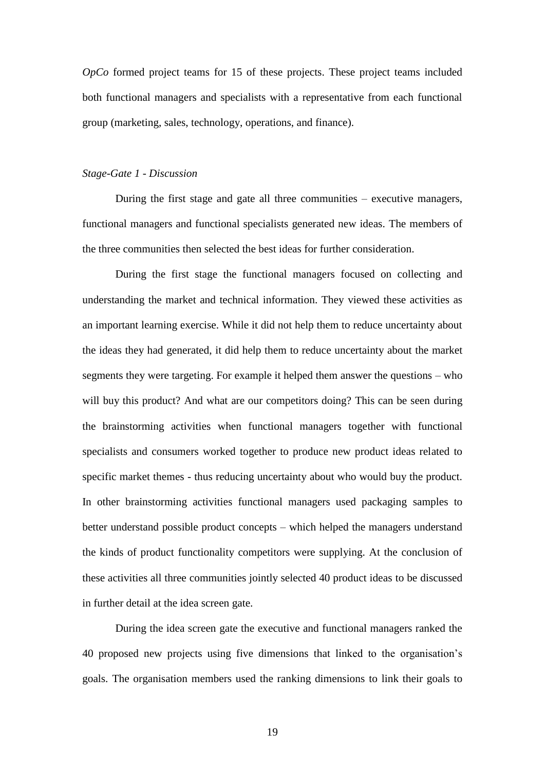*OpCo* formed project teams for 15 of these projects. These project teams included both functional managers and specialists with a representative from each functional group (marketing, sales, technology, operations, and finance).

#### *Stage-Gate 1 - Discussion*

During the first stage and gate all three communities – executive managers, functional managers and functional specialists generated new ideas. The members of the three communities then selected the best ideas for further consideration.

During the first stage the functional managers focused on collecting and understanding the market and technical information. They viewed these activities as an important learning exercise. While it did not help them to reduce uncertainty about the ideas they had generated, it did help them to reduce uncertainty about the market segments they were targeting. For example it helped them answer the questions – who will buy this product? And what are our competitors doing? This can be seen during the brainstorming activities when functional managers together with functional specialists and consumers worked together to produce new product ideas related to specific market themes - thus reducing uncertainty about who would buy the product. In other brainstorming activities functional managers used packaging samples to better understand possible product concepts – which helped the managers understand the kinds of product functionality competitors were supplying. At the conclusion of these activities all three communities jointly selected 40 product ideas to be discussed in further detail at the idea screen gate.

During the idea screen gate the executive and functional managers ranked the 40 proposed new projects using five dimensions that linked to the organisation's goals. The organisation members used the ranking dimensions to link their goals to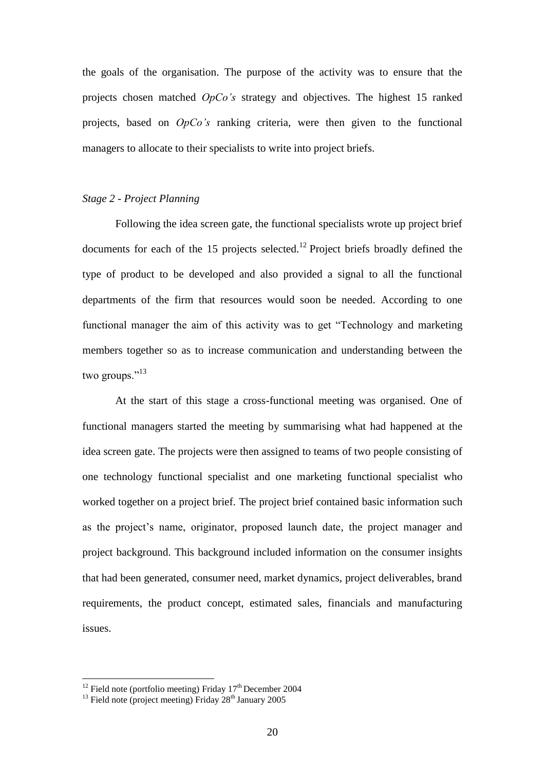the goals of the organisation. The purpose of the activity was to ensure that the projects chosen matched *OpCo's* strategy and objectives. The highest 15 ranked projects, based on *OpCo's* ranking criteria, were then given to the functional managers to allocate to their specialists to write into project briefs.

# *Stage 2 - Project Planning*

Following the idea screen gate, the functional specialists wrote up project brief documents for each of the 15 projects selected.<sup>12</sup> Project briefs broadly defined the type of product to be developed and also provided a signal to all the functional departments of the firm that resources would soon be needed. According to one functional manager the aim of this activity was to get "Technology and marketing members together so as to increase communication and understanding between the two groups."<sup>13</sup>

At the start of this stage a cross-functional meeting was organised. One of functional managers started the meeting by summarising what had happened at the idea screen gate. The projects were then assigned to teams of two people consisting of one technology functional specialist and one marketing functional specialist who worked together on a project brief. The project brief contained basic information such as the project's name, originator, proposed launch date, the project manager and project background. This background included information on the consumer insights that had been generated, consumer need, market dynamics, project deliverables, brand requirements, the product concept, estimated sales, financials and manufacturing issues.

<u>.</u>

<sup>&</sup>lt;sup>12</sup> Field note (portfolio meeting) Friday  $17<sup>th</sup>$  December 2004

<sup>&</sup>lt;sup>13</sup> Field note (project meeting) Friday  $28<sup>th</sup>$  January 2005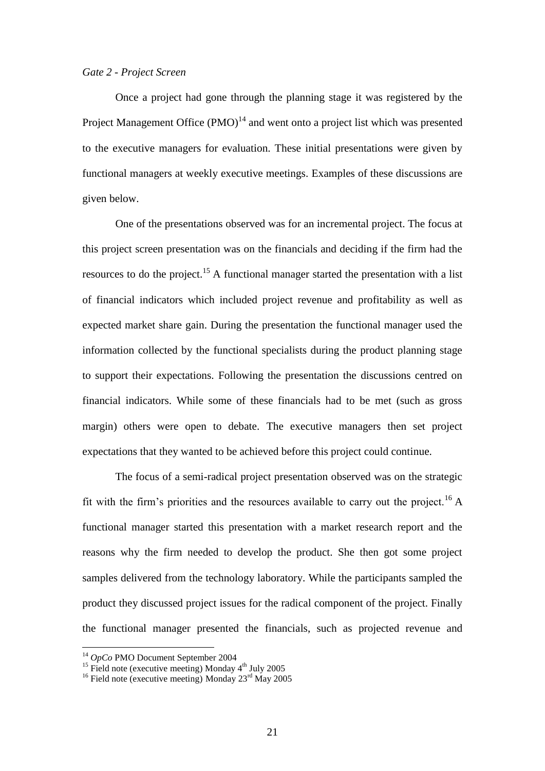#### *Gate 2 - Project Screen*

Once a project had gone through the planning stage it was registered by the Project Management Office  $(PMO)^{14}$  and went onto a project list which was presented to the executive managers for evaluation. These initial presentations were given by functional managers at weekly executive meetings. Examples of these discussions are given below.

One of the presentations observed was for an incremental project. The focus at this project screen presentation was on the financials and deciding if the firm had the resources to do the project.<sup>15</sup> A functional manager started the presentation with a list of financial indicators which included project revenue and profitability as well as expected market share gain. During the presentation the functional manager used the information collected by the functional specialists during the product planning stage to support their expectations. Following the presentation the discussions centred on financial indicators. While some of these financials had to be met (such as gross margin) others were open to debate. The executive managers then set project expectations that they wanted to be achieved before this project could continue.

The focus of a semi-radical project presentation observed was on the strategic fit with the firm's priorities and the resources available to carry out the project.<sup>16</sup> A functional manager started this presentation with a market research report and the reasons why the firm needed to develop the product. She then got some project samples delivered from the technology laboratory. While the participants sampled the product they discussed project issues for the radical component of the project. Finally the functional manager presented the financials, such as projected revenue and

<u>.</u>

<sup>14</sup> *OpCo* PMO Document September 2004

<sup>&</sup>lt;sup>15</sup> Field note (executive meeting) Monday  $4<sup>th</sup>$  July 2005

<sup>&</sup>lt;sup>16</sup> Field note (executive meeting) Monday  $23<sup>rd</sup>$  May 2005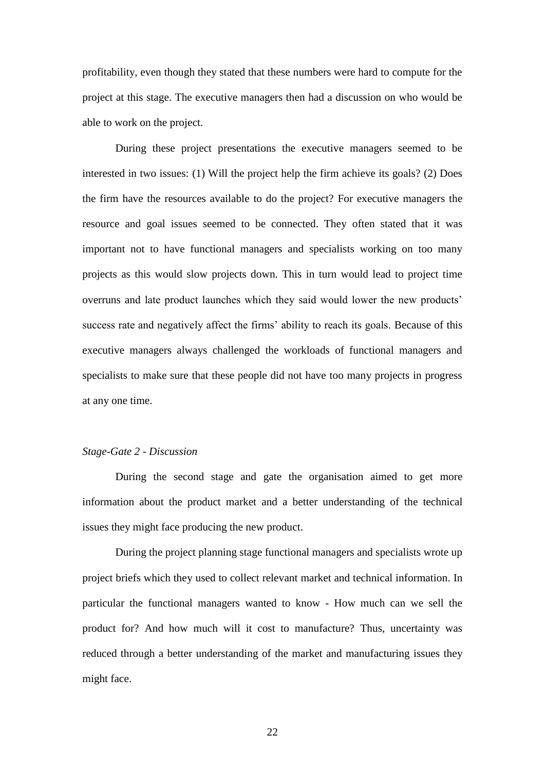profitability, even though they stated that these numbers were hard to compute for the project at this stage. The executive managers then had a discussion on who would be able to work on the project.

During these project presentations the executive managers seemed to be interested in two issues: (1) Will the project help the firm achieve its goals? (2) Does the firm have the resources available to do the project? For executive managers the resource and goal issues seemed to be connected. They often stated that it was important not to have functional managers and specialists working on too many projects as this would slow projects down. This in turn would lead to project time overruns and late product launches which they said would lower the new products' success rate and negatively affect the firms' ability to reach its goals. Because of this executive managers always challenged the workloads of functional managers and specialists to make sure that these people did not have too many projects in progress at any one time.

#### *Stage-Gate 2 - Discussion*

During the second stage and gate the organisation aimed to get more information about the product market and a better understanding of the technical issues they might face producing the new product.

During the project planning stage functional managers and specialists wrote up project briefs which they used to collect relevant market and technical information. In particular the functional managers wanted to know - How much can we sell the product for? And how much will it cost to manufacture? Thus, uncertainty was reduced through a better understanding of the market and manufacturing issues they might face.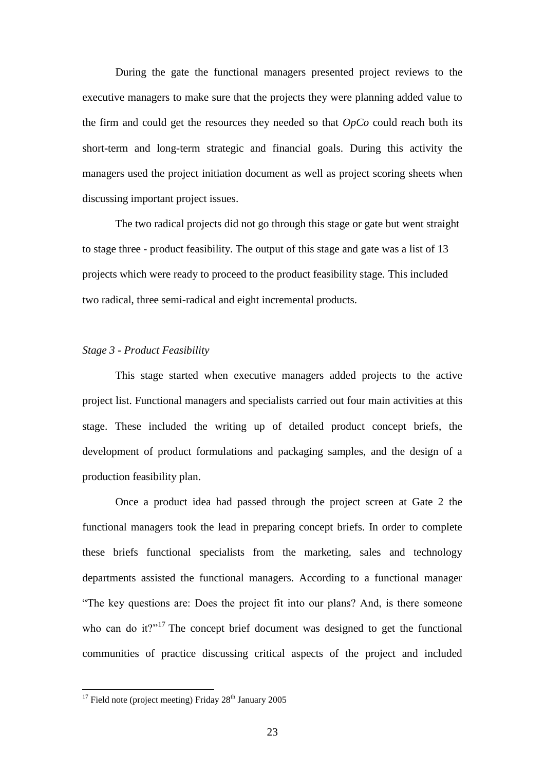During the gate the functional managers presented project reviews to the executive managers to make sure that the projects they were planning added value to the firm and could get the resources they needed so that *OpCo* could reach both its short-term and long-term strategic and financial goals. During this activity the managers used the project initiation document as well as project scoring sheets when discussing important project issues.

The two radical projects did not go through this stage or gate but went straight to stage three - product feasibility. The output of this stage and gate was a list of 13 projects which were ready to proceed to the product feasibility stage. This included two radical, three semi-radical and eight incremental products.

#### *Stage 3 - Product Feasibility*

This stage started when executive managers added projects to the active project list. Functional managers and specialists carried out four main activities at this stage. These included the writing up of detailed product concept briefs, the development of product formulations and packaging samples, and the design of a production feasibility plan.

Once a product idea had passed through the project screen at Gate 2 the functional managers took the lead in preparing concept briefs. In order to complete these briefs functional specialists from the marketing, sales and technology departments assisted the functional managers. According to a functional manager "The key questions are: Does the project fit into our plans? And, is there someone who can do it?"<sup>17</sup> The concept brief document was designed to get the functional communities of practice discussing critical aspects of the project and included

1

 $17$  Field note (project meeting) Friday  $28<sup>th</sup>$  January 2005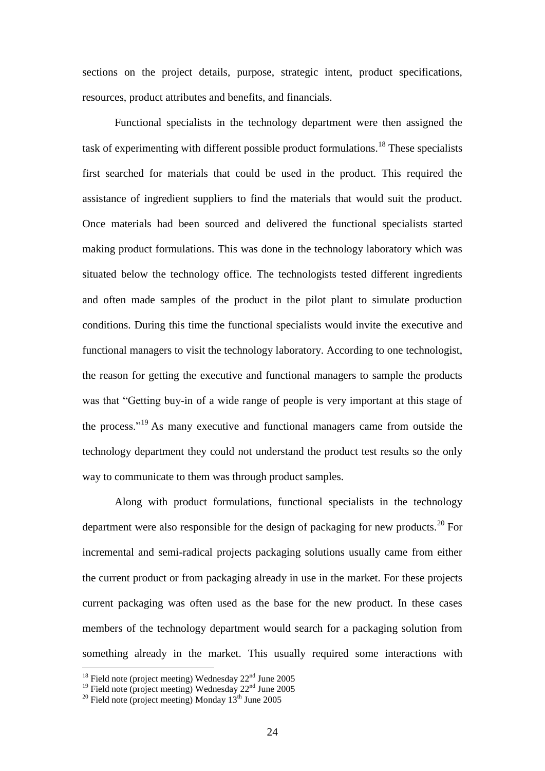sections on the project details, purpose, strategic intent, product specifications, resources, product attributes and benefits, and financials.

Functional specialists in the technology department were then assigned the task of experimenting with different possible product formulations.<sup>18</sup> These specialists first searched for materials that could be used in the product. This required the assistance of ingredient suppliers to find the materials that would suit the product. Once materials had been sourced and delivered the functional specialists started making product formulations. This was done in the technology laboratory which was situated below the technology office. The technologists tested different ingredients and often made samples of the product in the pilot plant to simulate production conditions. During this time the functional specialists would invite the executive and functional managers to visit the technology laboratory. According to one technologist, the reason for getting the executive and functional managers to sample the products was that "Getting buy-in of a wide range of people is very important at this stage of the process."<sup>19</sup> As many executive and functional managers came from outside the technology department they could not understand the product test results so the only way to communicate to them was through product samples.

Along with product formulations, functional specialists in the technology department were also responsible for the design of packaging for new products.<sup>20</sup> For incremental and semi-radical projects packaging solutions usually came from either the current product or from packaging already in use in the market. For these projects current packaging was often used as the base for the new product. In these cases members of the technology department would search for a packaging solution from something already in the market. This usually required some interactions with

<u>.</u>

 $18$  Field note (project meeting) Wednesday  $22<sup>nd</sup>$  June 2005

 $19$  Field note (project meeting) Wednesday  $22<sup>nd</sup>$  June 2005

 $^{20}$  Field note (project meeting) Monday  $13<sup>th</sup>$  June 2005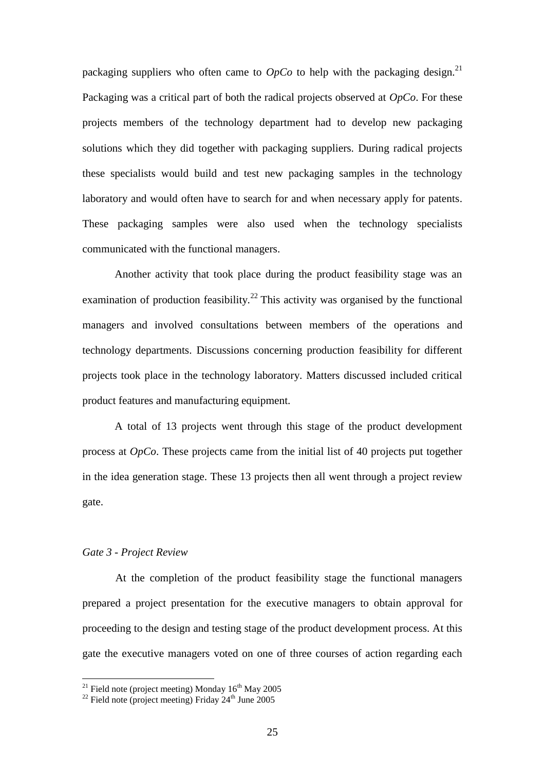packaging suppliers who often came to  $OpCo$  to help with the packaging design.<sup>21</sup> Packaging was a critical part of both the radical projects observed at *OpCo*. For these projects members of the technology department had to develop new packaging solutions which they did together with packaging suppliers. During radical projects these specialists would build and test new packaging samples in the technology laboratory and would often have to search for and when necessary apply for patents. These packaging samples were also used when the technology specialists communicated with the functional managers.

Another activity that took place during the product feasibility stage was an examination of production feasibility.<sup>22</sup> This activity was organised by the functional managers and involved consultations between members of the operations and technology departments. Discussions concerning production feasibility for different projects took place in the technology laboratory. Matters discussed included critical product features and manufacturing equipment.

A total of 13 projects went through this stage of the product development process at *OpCo*. These projects came from the initial list of 40 projects put together in the idea generation stage. These 13 projects then all went through a project review gate.

#### *Gate 3 - Project Review*

<u>.</u>

At the completion of the product feasibility stage the functional managers prepared a project presentation for the executive managers to obtain approval for proceeding to the design and testing stage of the product development process. At this gate the executive managers voted on one of three courses of action regarding each

<sup>&</sup>lt;sup>21</sup> Field note (project meeting) Monday  $16<sup>th</sup>$  May 2005

<sup>&</sup>lt;sup>22</sup> Field note (project meeting) Friday  $24<sup>th</sup>$  June 2005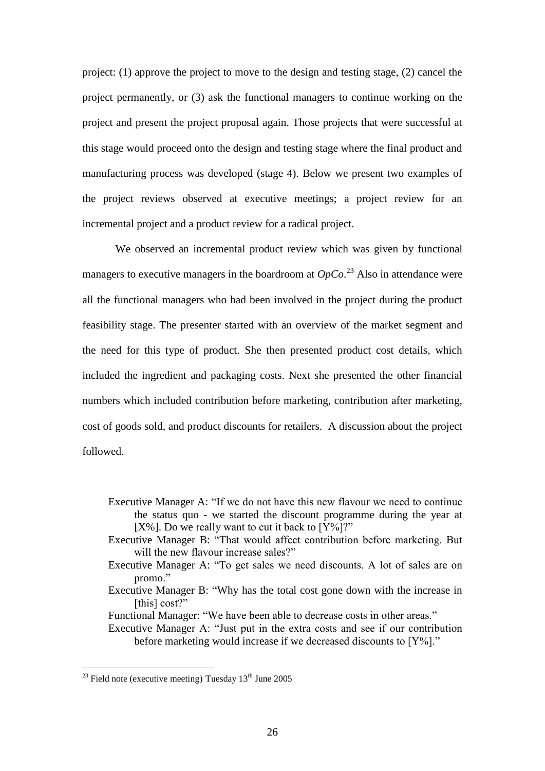project: (1) approve the project to move to the design and testing stage, (2) cancel the project permanently, or (3) ask the functional managers to continue working on the project and present the project proposal again. Those projects that were successful at this stage would proceed onto the design and testing stage where the final product and manufacturing process was developed (stage 4). Below we present two examples of the project reviews observed at executive meetings; a project review for an incremental project and a product review for a radical project.

We observed an incremental product review which was given by functional managers to executive managers in the boardroom at  $OpCo.^{23}$  Also in attendance were all the functional managers who had been involved in the project during the product feasibility stage. The presenter started with an overview of the market segment and the need for this type of product. She then presented product cost details, which included the ingredient and packaging costs. Next she presented the other financial numbers which included contribution before marketing, contribution after marketing, cost of goods sold, and product discounts for retailers. A discussion about the project followed.

- Executive Manager A: "If we do not have this new flavour we need to continue the status quo - we started the discount programme during the year at [ $X\%$ ]. Do we really want to cut it back to  $[Y\%]$ ?"
- Executive Manager B: "That would affect contribution before marketing. But will the new flavour increase sales?"
- Executive Manager A: "To get sales we need discounts. A lot of sales are on promo."
- Executive Manager B: "Why has the total cost gone down with the increase in [this] cost?"
- Functional Manager: "We have been able to decrease costs in other areas."
- Executive Manager A: "Just put in the extra costs and see if our contribution before marketing would increase if we decreased discounts to [Y%]."

<u>.</u>

 $^{23}$  Field note (executive meeting) Tuesday  $13<sup>th</sup>$  June 2005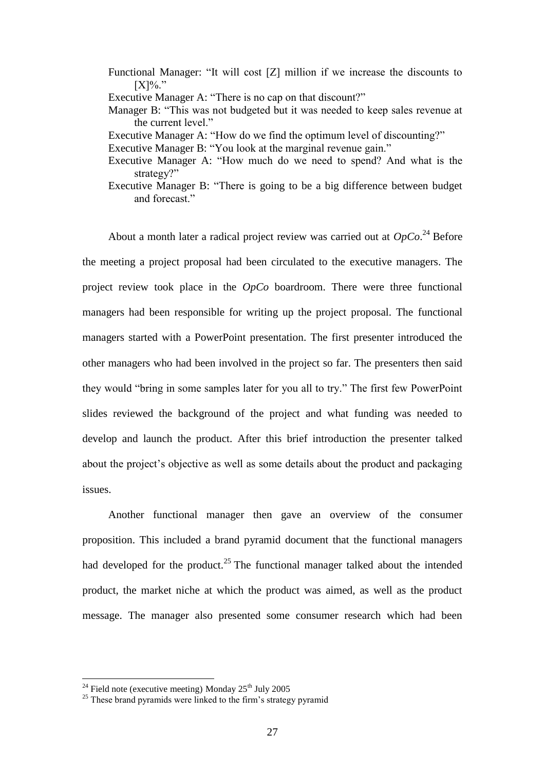- Functional Manager: "It will cost [Z] million if we increase the discounts to  $[X] \%$ ."
- Executive Manager A: "There is no cap on that discount?"
- Manager B: "This was not budgeted but it was needed to keep sales revenue at the current level."
- Executive Manager A: "How do we find the optimum level of discounting?"
- Executive Manager B: "You look at the marginal revenue gain."
- Executive Manager A: "How much do we need to spend? And what is the strategy?"
- Executive Manager B: "There is going to be a big difference between budget and forecast."

About a month later a radical project review was carried out at  $OpCo.^{24}$  Before the meeting a project proposal had been circulated to the executive managers. The project review took place in the *OpCo* boardroom. There were three functional managers had been responsible for writing up the project proposal. The functional managers started with a PowerPoint presentation. The first presenter introduced the other managers who had been involved in the project so far. The presenters then said they would "bring in some samples later for you all to try." The first few PowerPoint slides reviewed the background of the project and what funding was needed to develop and launch the product. After this brief introduction the presenter talked about the project's objective as well as some details about the product and packaging issues.

Another functional manager then gave an overview of the consumer proposition. This included a brand pyramid document that the functional managers had developed for the product.<sup>25</sup> The functional manager talked about the intended product, the market niche at which the product was aimed, as well as the product message. The manager also presented some consumer research which had been

<u>.</u>

<sup>&</sup>lt;sup>24</sup> Field note (executive meeting) Monday  $25<sup>th</sup>$  July 2005

<sup>&</sup>lt;sup>25</sup> These brand pyramids were linked to the firm's strategy pyramid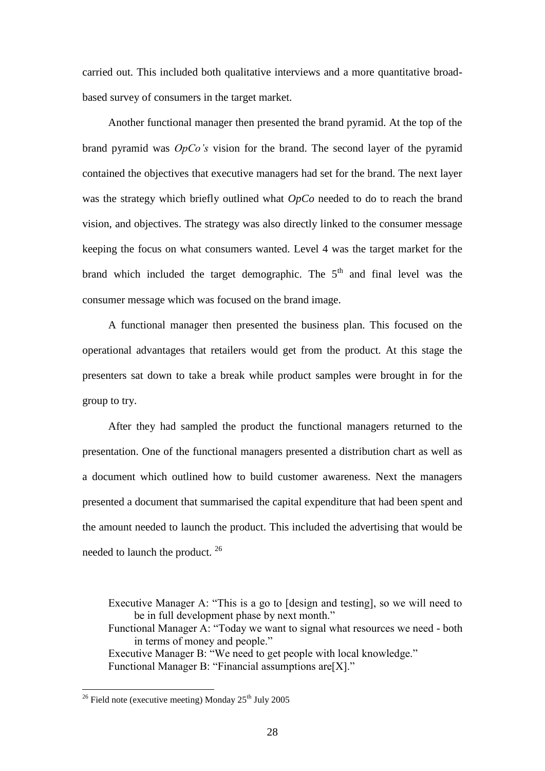carried out. This included both qualitative interviews and a more quantitative broadbased survey of consumers in the target market.

Another functional manager then presented the brand pyramid. At the top of the brand pyramid was *OpCo's* vision for the brand. The second layer of the pyramid contained the objectives that executive managers had set for the brand. The next layer was the strategy which briefly outlined what *OpCo* needed to do to reach the brand vision, and objectives. The strategy was also directly linked to the consumer message keeping the focus on what consumers wanted. Level 4 was the target market for the brand which included the target demographic. The  $5<sup>th</sup>$  and final level was the consumer message which was focused on the brand image.

A functional manager then presented the business plan. This focused on the operational advantages that retailers would get from the product. At this stage the presenters sat down to take a break while product samples were brought in for the group to try.

After they had sampled the product the functional managers returned to the presentation. One of the functional managers presented a distribution chart as well as a document which outlined how to build customer awareness. Next the managers presented a document that summarised the capital expenditure that had been spent and the amount needed to launch the product. This included the advertising that would be needed to launch the product. <sup>26</sup>

Executive Manager A: "This is a go to [design and testing], so we will need to be in full development phase by next month."

Functional Manager A: "Today we want to signal what resources we need - both in terms of money and people."

Executive Manager B: "We need to get people with local knowledge." Functional Manager B: "Financial assumptions are[X]."

1

<sup>&</sup>lt;sup>26</sup> Field note (executive meeting) Monday  $25<sup>th</sup>$  July 2005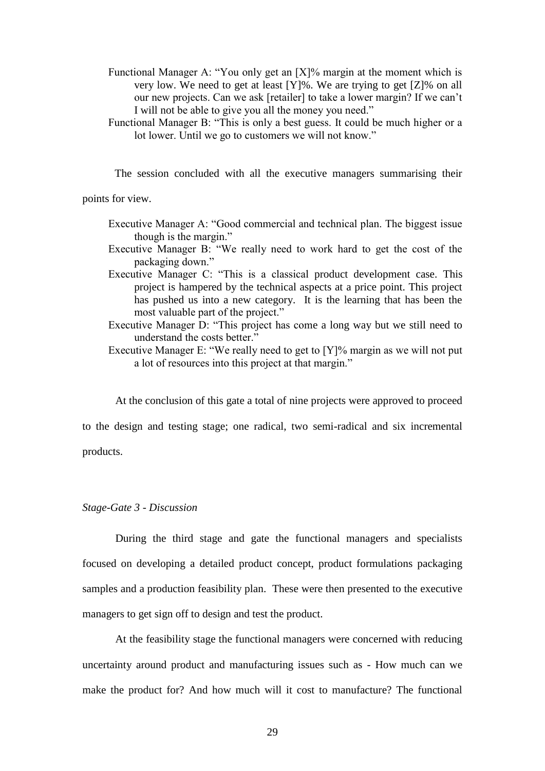- Functional Manager A: "You only get an [X]% margin at the moment which is very low. We need to get at least  $[Y]\%$ . We are trying to get  $[Z]\%$  on all our new projects. Can we ask [retailer] to take a lower margin? If we can't I will not be able to give you all the money you need."
- Functional Manager B: "This is only a best guess. It could be much higher or a lot lower. Until we go to customers we will not know."

The session concluded with all the executive managers summarising their

points for view.

- Executive Manager A: "Good commercial and technical plan. The biggest issue though is the margin."
- Executive Manager B: "We really need to work hard to get the cost of the packaging down."
- Executive Manager C: "This is a classical product development case. This project is hampered by the technical aspects at a price point. This project has pushed us into a new category. It is the learning that has been the most valuable part of the project."
- Executive Manager D: "This project has come a long way but we still need to understand the costs better."
- Executive Manager E: "We really need to get to [Y]% margin as we will not put a lot of resources into this project at that margin."

At the conclusion of this gate a total of nine projects were approved to proceed

to the design and testing stage; one radical, two semi-radical and six incremental products.

# *Stage-Gate 3 - Discussion*

During the third stage and gate the functional managers and specialists focused on developing a detailed product concept, product formulations packaging samples and a production feasibility plan. These were then presented to the executive managers to get sign off to design and test the product.

At the feasibility stage the functional managers were concerned with reducing uncertainty around product and manufacturing issues such as - How much can we make the product for? And how much will it cost to manufacture? The functional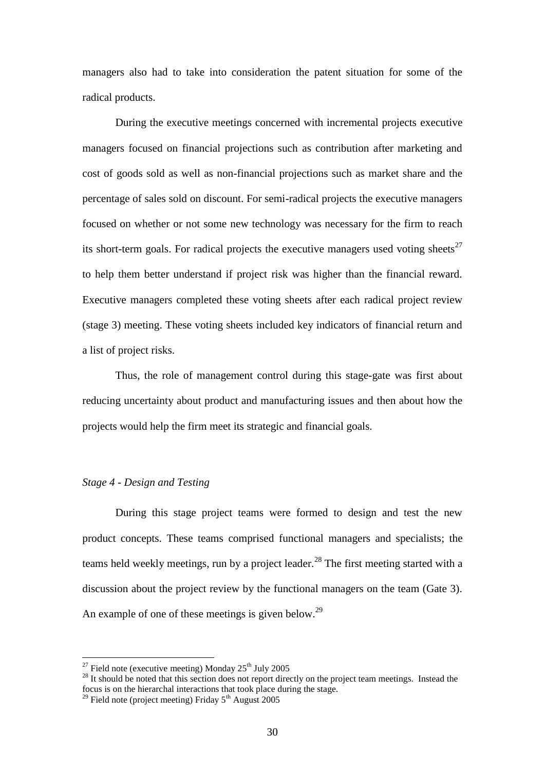managers also had to take into consideration the patent situation for some of the radical products.

During the executive meetings concerned with incremental projects executive managers focused on financial projections such as contribution after marketing and cost of goods sold as well as non-financial projections such as market share and the percentage of sales sold on discount. For semi-radical projects the executive managers focused on whether or not some new technology was necessary for the firm to reach its short-term goals. For radical projects the executive managers used voting sheets<sup>27</sup> to help them better understand if project risk was higher than the financial reward. Executive managers completed these voting sheets after each radical project review (stage 3) meeting. These voting sheets included key indicators of financial return and a list of project risks.

Thus, the role of management control during this stage-gate was first about reducing uncertainty about product and manufacturing issues and then about how the projects would help the firm meet its strategic and financial goals.

#### *Stage 4 - Design and Testing*

1

During this stage project teams were formed to design and test the new product concepts. These teams comprised functional managers and specialists; the teams held weekly meetings, run by a project leader.<sup>28</sup> The first meeting started with a discussion about the project review by the functional managers on the team (Gate 3). An example of one of these meetings is given below.<sup>29</sup>

<sup>&</sup>lt;sup>27</sup> Field note (executive meeting) Monday  $25<sup>th</sup>$  July 2005

<sup>&</sup>lt;sup>28</sup> It should be noted that this section does not report directly on the project team meetings. Instead the focus is on the hierarchal interactions that took place during the stage.

 $29$  Field note (project meeting) Friday  $5<sup>th</sup>$  August 2005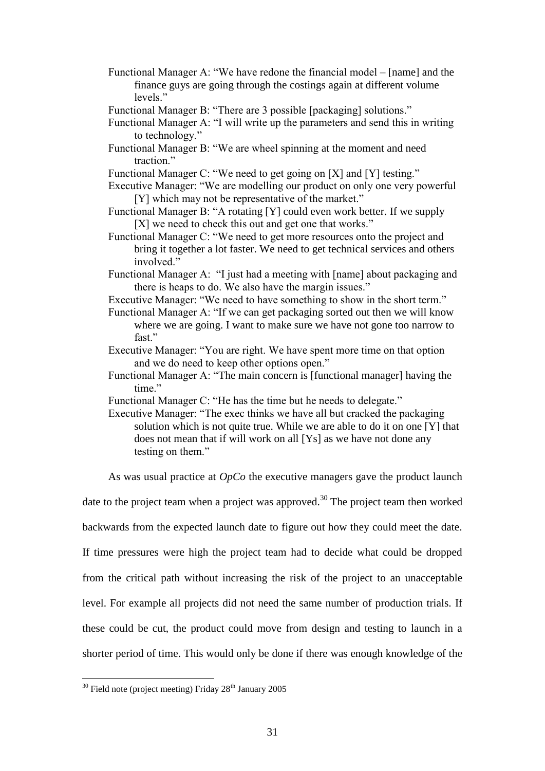- Functional Manager A: "We have redone the financial model [name] and the finance guys are going through the costings again at different volume levels<sup>"</sup>
- Functional Manager B: "There are 3 possible [packaging] solutions."
- Functional Manager A: "I will write up the parameters and send this in writing to technology."
- Functional Manager B: "We are wheel spinning at the moment and need traction"
- Functional Manager C: "We need to get going on [X] and [Y] testing."
- Executive Manager: "We are modelling our product on only one very powerful [Y] which may not be representative of the market."
- Functional Manager B: "A rotating [Y] could even work better. If we supply [X] we need to check this out and get one that works."
- Functional Manager C: "We need to get more resources onto the project and bring it together a lot faster. We need to get technical services and others involved."
- Functional Manager A: "I just had a meeting with [name] about packaging and there is heaps to do. We also have the margin issues."
- Executive Manager: "We need to have something to show in the short term."
- Functional Manager A: "If we can get packaging sorted out then we will know where we are going. I want to make sure we have not gone too narrow to fast"
- Executive Manager: "You are right. We have spent more time on that option and we do need to keep other options open."
- Functional Manager A: "The main concern is [functional manager] having the time."
- Functional Manager C: "He has the time but he needs to delegate."

Executive Manager: "The exec thinks we have all but cracked the packaging solution which is not quite true. While we are able to do it on one [Y] that does not mean that if will work on all [Ys] as we have not done any testing on them."

As was usual practice at *OpCo* the executive managers gave the product launch

date to the project team when a project was approved.<sup>30</sup> The project team then worked

backwards from the expected launch date to figure out how they could meet the date.

If time pressures were high the project team had to decide what could be dropped

from the critical path without increasing the risk of the project to an unacceptable

level. For example all projects did not need the same number of production trials. If

these could be cut, the product could move from design and testing to launch in a

shorter period of time. This would only be done if there was enough knowledge of the

<sup>&</sup>lt;u>.</u>  $30$  Field note (project meeting) Friday  $28<sup>th</sup>$  January 2005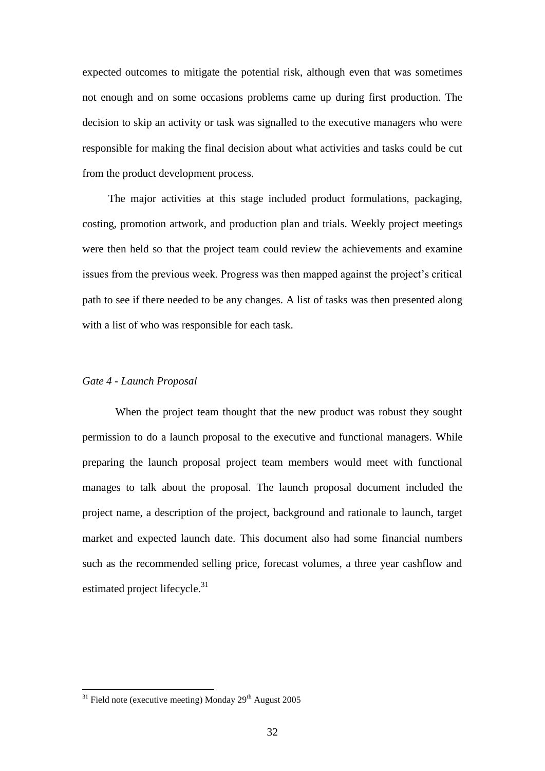expected outcomes to mitigate the potential risk, although even that was sometimes not enough and on some occasions problems came up during first production. The decision to skip an activity or task was signalled to the executive managers who were responsible for making the final decision about what activities and tasks could be cut from the product development process.

The major activities at this stage included product formulations, packaging, costing, promotion artwork, and production plan and trials. Weekly project meetings were then held so that the project team could review the achievements and examine issues from the previous week. Progress was then mapped against the project's critical path to see if there needed to be any changes. A list of tasks was then presented along with a list of who was responsible for each task.

#### *Gate 4 - Launch Proposal*

When the project team thought that the new product was robust they sought permission to do a launch proposal to the executive and functional managers. While preparing the launch proposal project team members would meet with functional manages to talk about the proposal. The launch proposal document included the project name, a description of the project, background and rationale to launch, target market and expected launch date. This document also had some financial numbers such as the recommended selling price, forecast volumes, a three year cashflow and estimated project lifecycle.<sup>31</sup>

1

 $31$  Field note (executive meeting) Monday 29<sup>th</sup> August 2005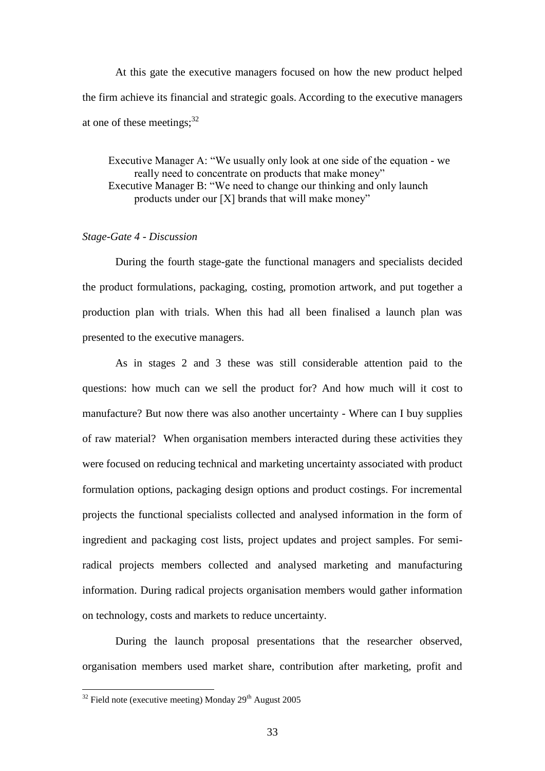At this gate the executive managers focused on how the new product helped the firm achieve its financial and strategic goals. According to the executive managers at one of these meetings;  $32$ 

Executive Manager A: "We usually only look at one side of the equation - we really need to concentrate on products that make money" Executive Manager B: "We need to change our thinking and only launch products under our [X] brands that will make money"

#### *Stage-Gate 4 - Discussion*

During the fourth stage-gate the functional managers and specialists decided the product formulations, packaging, costing, promotion artwork, and put together a production plan with trials. When this had all been finalised a launch plan was presented to the executive managers.

As in stages 2 and 3 these was still considerable attention paid to the questions: how much can we sell the product for? And how much will it cost to manufacture? But now there was also another uncertainty - Where can I buy supplies of raw material? When organisation members interacted during these activities they were focused on reducing technical and marketing uncertainty associated with product formulation options, packaging design options and product costings. For incremental projects the functional specialists collected and analysed information in the form of ingredient and packaging cost lists, project updates and project samples. For semiradical projects members collected and analysed marketing and manufacturing information. During radical projects organisation members would gather information on technology, costs and markets to reduce uncertainty.

During the launch proposal presentations that the researcher observed, organisation members used market share, contribution after marketing, profit and

1

 $32$  Field note (executive meeting) Monday 29<sup>th</sup> August 2005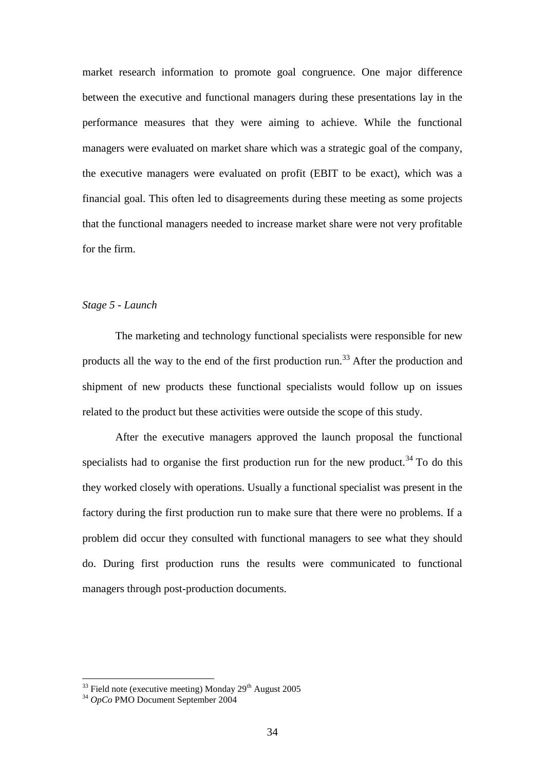market research information to promote goal congruence. One major difference between the executive and functional managers during these presentations lay in the performance measures that they were aiming to achieve. While the functional managers were evaluated on market share which was a strategic goal of the company, the executive managers were evaluated on profit (EBIT to be exact), which was a financial goal. This often led to disagreements during these meeting as some projects that the functional managers needed to increase market share were not very profitable for the firm.

# *Stage 5 - Launch*

The marketing and technology functional specialists were responsible for new products all the way to the end of the first production run.<sup>33</sup> After the production and shipment of new products these functional specialists would follow up on issues related to the product but these activities were outside the scope of this study.

After the executive managers approved the launch proposal the functional specialists had to organise the first production run for the new product.<sup>34</sup> To do this they worked closely with operations. Usually a functional specialist was present in the factory during the first production run to make sure that there were no problems. If a problem did occur they consulted with functional managers to see what they should do. During first production runs the results were communicated to functional managers through post-production documents.

<u>.</u>

 $33$  Field note (executive meeting) Monday  $29<sup>th</sup>$  August 2005

<sup>34</sup> *OpCo* PMO Document September 2004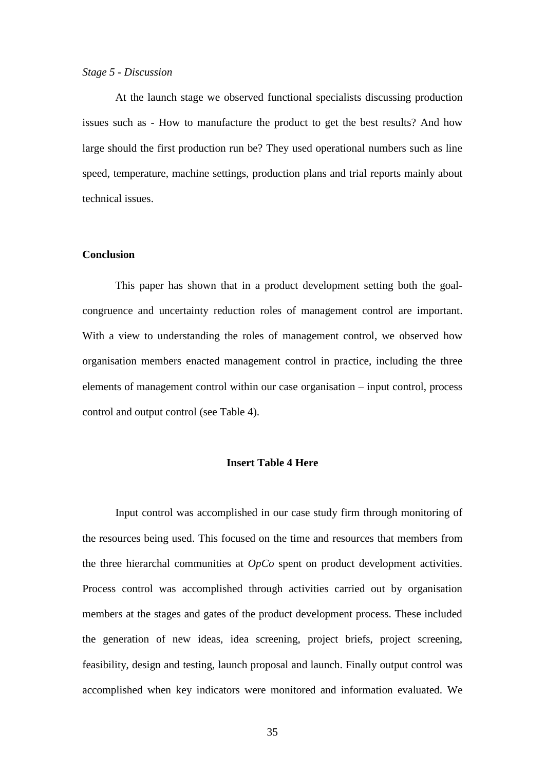#### *Stage 5 - Discussion*

At the launch stage we observed functional specialists discussing production issues such as - How to manufacture the product to get the best results? And how large should the first production run be? They used operational numbers such as line speed, temperature, machine settings, production plans and trial reports mainly about technical issues.

## **Conclusion**

This paper has shown that in a product development setting both the goalcongruence and uncertainty reduction roles of management control are important. With a view to understanding the roles of management control, we observed how organisation members enacted management control in practice, including the three elements of management control within our case organisation – input control, process control and output control (see Table 4).

#### **Insert Table 4 Here**

Input control was accomplished in our case study firm through monitoring of the resources being used. This focused on the time and resources that members from the three hierarchal communities at *OpCo* spent on product development activities. Process control was accomplished through activities carried out by organisation members at the stages and gates of the product development process. These included the generation of new ideas, idea screening, project briefs, project screening, feasibility, design and testing, launch proposal and launch. Finally output control was accomplished when key indicators were monitored and information evaluated. We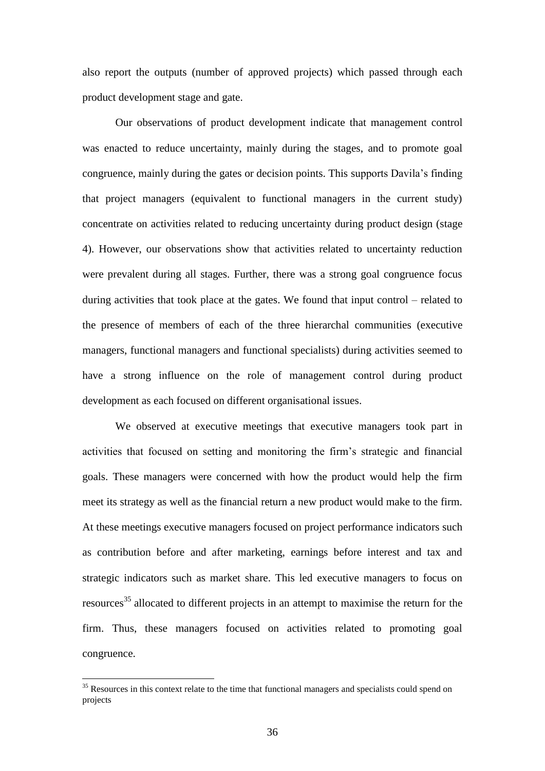also report the outputs (number of approved projects) which passed through each product development stage and gate.

Our observations of product development indicate that management control was enacted to reduce uncertainty, mainly during the stages, and to promote goal congruence, mainly during the gates or decision points. This supports Davila's finding that project managers (equivalent to functional managers in the current study) concentrate on activities related to reducing uncertainty during product design (stage 4). However, our observations show that activities related to uncertainty reduction were prevalent during all stages. Further, there was a strong goal congruence focus during activities that took place at the gates. We found that input control – related to the presence of members of each of the three hierarchal communities (executive managers, functional managers and functional specialists) during activities seemed to have a strong influence on the role of management control during product development as each focused on different organisational issues.

We observed at executive meetings that executive managers took part in activities that focused on setting and monitoring the firm's strategic and financial goals. These managers were concerned with how the product would help the firm meet its strategy as well as the financial return a new product would make to the firm. At these meetings executive managers focused on project performance indicators such as contribution before and after marketing, earnings before interest and tax and strategic indicators such as market share. This led executive managers to focus on resources<sup>35</sup> allocated to different projects in an attempt to maximise the return for the firm. Thus, these managers focused on activities related to promoting goal congruence.

<u>.</u>

<sup>&</sup>lt;sup>35</sup> Resources in this context relate to the time that functional managers and specialists could spend on projects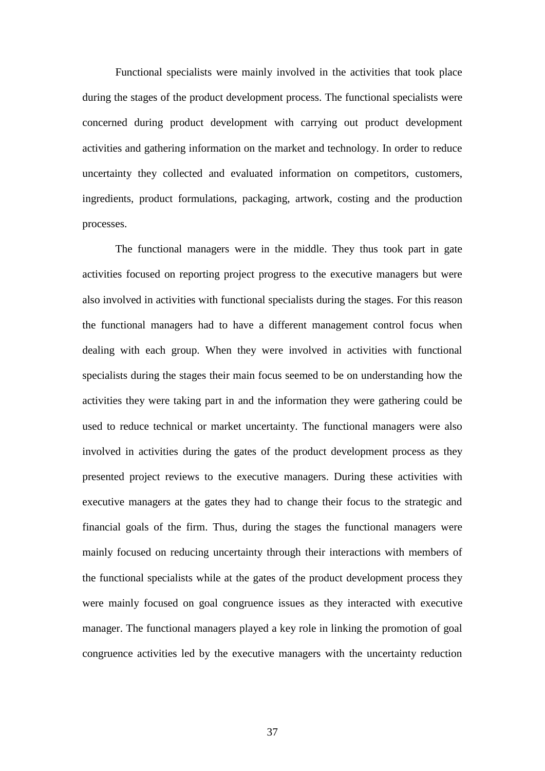Functional specialists were mainly involved in the activities that took place during the stages of the product development process. The functional specialists were concerned during product development with carrying out product development activities and gathering information on the market and technology. In order to reduce uncertainty they collected and evaluated information on competitors, customers, ingredients, product formulations, packaging, artwork, costing and the production processes.

The functional managers were in the middle. They thus took part in gate activities focused on reporting project progress to the executive managers but were also involved in activities with functional specialists during the stages. For this reason the functional managers had to have a different management control focus when dealing with each group. When they were involved in activities with functional specialists during the stages their main focus seemed to be on understanding how the activities they were taking part in and the information they were gathering could be used to reduce technical or market uncertainty. The functional managers were also involved in activities during the gates of the product development process as they presented project reviews to the executive managers. During these activities with executive managers at the gates they had to change their focus to the strategic and financial goals of the firm. Thus, during the stages the functional managers were mainly focused on reducing uncertainty through their interactions with members of the functional specialists while at the gates of the product development process they were mainly focused on goal congruence issues as they interacted with executive manager. The functional managers played a key role in linking the promotion of goal congruence activities led by the executive managers with the uncertainty reduction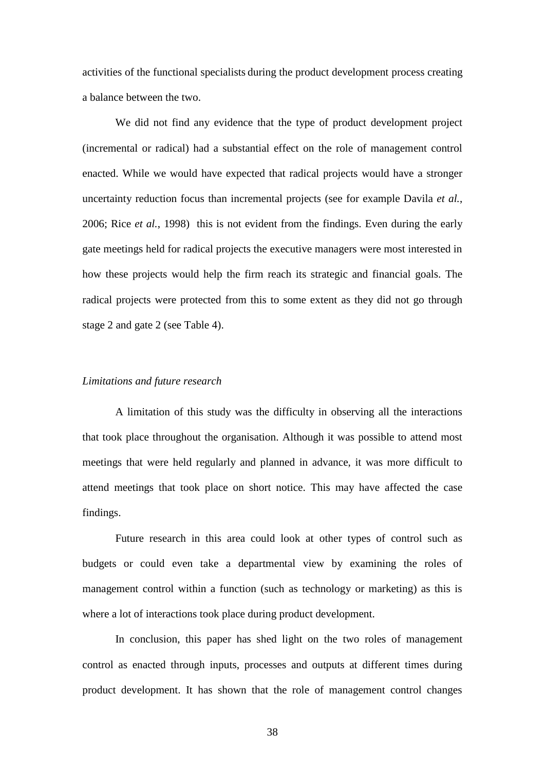activities of the functional specialists during the product development process creating a balance between the two.

We did not find any evidence that the type of product development project (incremental or radical) had a substantial effect on the role of management control enacted. While we would have expected that radical projects would have a stronger uncertainty reduction focus than incremental projects (see for example Davila *et al.*, 2006; Rice *et al.*, 1998) this is not evident from the findings. Even during the early gate meetings held for radical projects the executive managers were most interested in how these projects would help the firm reach its strategic and financial goals. The radical projects were protected from this to some extent as they did not go through stage 2 and gate 2 (see Table 4).

## *Limitations and future research*

A limitation of this study was the difficulty in observing all the interactions that took place throughout the organisation. Although it was possible to attend most meetings that were held regularly and planned in advance, it was more difficult to attend meetings that took place on short notice. This may have affected the case findings.

Future research in this area could look at other types of control such as budgets or could even take a departmental view by examining the roles of management control within a function (such as technology or marketing) as this is where a lot of interactions took place during product development.

In conclusion, this paper has shed light on the two roles of management control as enacted through inputs, processes and outputs at different times during product development. It has shown that the role of management control changes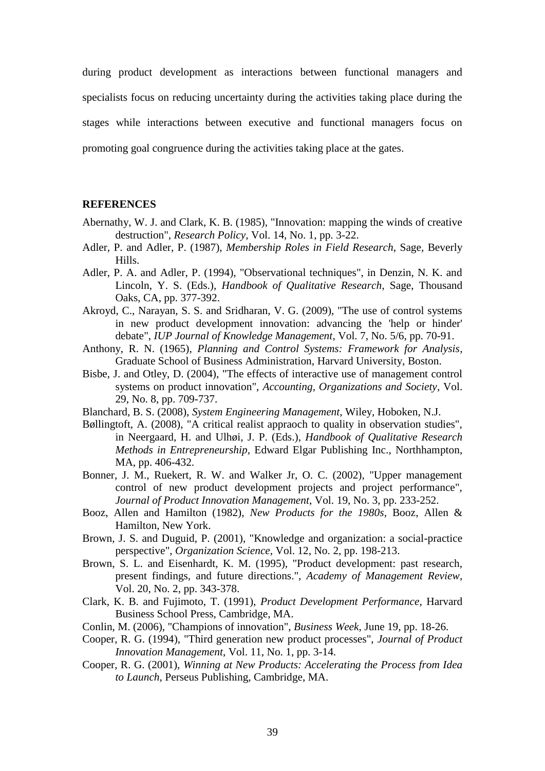during product development as interactions between functional managers and specialists focus on reducing uncertainty during the activities taking place during the stages while interactions between executive and functional managers focus on promoting goal congruence during the activities taking place at the gates.

#### **REFERENCES**

- Abernathy, W. J. and Clark, K. B. (1985), "Innovation: mapping the winds of creative destruction", *Research Policy*, Vol. 14, No. 1, pp. 3-22.
- Adler, P. and Adler, P. (1987), *Membership Roles in Field Research*, Sage, Beverly Hills.
- Adler, P. A. and Adler, P. (1994), "Observational techniques", in Denzin, N. K. and Lincoln, Y. S. (Eds.), *Handbook of Qualitative Research,* Sage, Thousand Oaks, CA, pp. 377-392.
- Akroyd, C., Narayan, S. S. and Sridharan, V. G. (2009), "The use of control systems in new product development innovation: advancing the 'help or hinder' debate", *IUP Journal of Knowledge Management*, Vol. 7, No. 5/6, pp. 70-91.
- Anthony, R. N. (1965), *Planning and Control Systems: Framework for Analysis*, Graduate School of Business Administration, Harvard University, Boston.
- Bisbe, J. and Otley, D. (2004), "The effects of interactive use of management control systems on product innovation", *Accounting, Organizations and Society*, Vol. 29, No. 8, pp. 709-737.
- Blanchard, B. S. (2008), *System Engineering Management*, Wiley, Hoboken, N.J.
- Bøllingtoft, A. (2008), "A critical realist appraoch to quality in observation studies", in Neergaard, H. and Ulhøi, J. P. (Eds.), *Handbook of Qualitative Research Methods in Entrepreneurship,* Edward Elgar Publishing Inc., Northhampton, MA, pp. 406-432.
- Bonner, J. M., Ruekert, R. W. and Walker Jr, O. C. (2002), "Upper management control of new product development projects and project performance", *Journal of Product Innovation Management*, Vol. 19, No. 3, pp. 233-252.
- Booz, Allen and Hamilton (1982), *New Products for the 1980s*, Booz, Allen & Hamilton, New York.
- Brown, J. S. and Duguid, P. (2001), "Knowledge and organization: a social-practice perspective", *Organization Science*, Vol. 12, No. 2, pp. 198-213.
- Brown, S. L. and Eisenhardt, K. M. (1995), "Product development: past research, present findings, and future directions.", *Academy of Management Review*, Vol. 20, No. 2, pp. 343-378.
- Clark, K. B. and Fujimoto, T. (1991), *Product Development Performance*, Harvard Business School Press, Cambridge, MA.
- Conlin, M. (2006), "Champions of innovation", *Business Week*, June 19, pp. 18-26.
- Cooper, R. G. (1994), "Third generation new product processes", *Journal of Product Innovation Management*, Vol. 11, No. 1, pp. 3-14.
- Cooper, R. G. (2001), *Winning at New Products: Accelerating the Process from Idea to Launch*, Perseus Publishing, Cambridge, MA.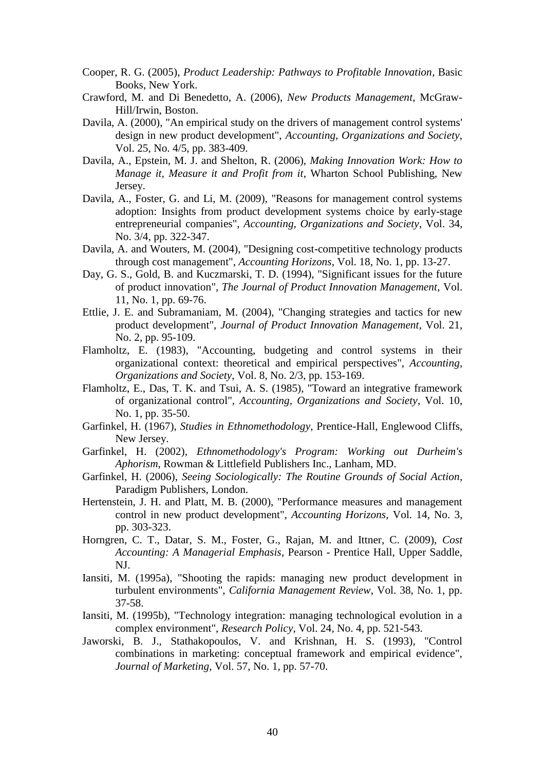- Cooper, R. G. (2005), *Product Leadership: Pathways to Profitable Innovation*, Basic Books, New York.
- Crawford, M. and Di Benedetto, A. (2006), *New Products Management*, McGraw-Hill/Irwin, Boston.
- Davila, A. (2000), "An empirical study on the drivers of management control systems' design in new product development", *Accounting, Organizations and Society*, Vol. 25, No. 4/5, pp. 383-409.
- Davila, A., Epstein, M. J. and Shelton, R. (2006), *Making Innovation Work: How to Manage it, Measure it and Profit from it*, Wharton School Publishing, New Jersey.
- Davila, A., Foster, G. and Li, M. (2009), "Reasons for management control systems adoption: Insights from product development systems choice by early-stage entrepreneurial companies", *Accounting, Organizations and Society*, Vol. 34, No. 3/4, pp. 322-347.
- Davila, A. and Wouters, M. (2004), "Designing cost-competitive technology products through cost management", *Accounting Horizons*, Vol. 18, No. 1, pp. 13-27.
- Day, G. S., Gold, B. and Kuczmarski, T. D. (1994), "Significant issues for the future of product innovation", *The Journal of Product Innovation Management*, Vol. 11, No. 1, pp. 69-76.
- Ettlie, J. E. and Subramaniam, M. (2004), "Changing strategies and tactics for new product development", *Journal of Product Innovation Management*, Vol. 21, No. 2, pp. 95-109.
- Flamholtz, E. (1983), "Accounting, budgeting and control systems in their organizational context: theoretical and empirical perspectives", *Accounting, Organizations and Society*, Vol. 8, No. 2/3, pp. 153-169.
- Flamholtz, E., Das, T. K. and Tsui, A. S. (1985), "Toward an integrative framework of organizational control", *Accounting, Organizations and Society*, Vol. 10, No. 1, pp. 35-50.
- Garfinkel, H. (1967), *Studies in Ethnomethodology*, Prentice-Hall, Englewood Cliffs, New Jersey.
- Garfinkel, H. (2002), *Ethnomethodology's Program: Working out Durheim's Aphorism*, Rowman & Littlefield Publishers Inc., Lanham, MD.
- Garfinkel, H. (2006), *Seeing Sociologically: The Routine Grounds of Social Action*, Paradigm Publishers, London.
- Hertenstein, J. H. and Platt, M. B. (2000), "Performance measures and management control in new product development", *Accounting Horizons*, Vol. 14, No. 3, pp. 303-323.
- Horngren, C. T., Datar, S. M., Foster, G., Rajan, M. and Ittner, C. (2009), *Cost Accounting: A Managerial Emphasis*, Pearson - Prentice Hall, Upper Saddle, NJ.
- Iansiti, M. (1995a), "Shooting the rapids: managing new product development in turbulent environments", *California Management Review*, Vol. 38, No. 1, pp. 37-58.
- Iansiti, M. (1995b), "Technology integration: managing technological evolution in a complex environment", *Research Policy*, Vol. 24, No. 4, pp. 521-543.
- Jaworski, B. J., Stathakopoulos, V. and Krishnan, H. S. (1993), "Control combinations in marketing: conceptual framework and empirical evidence", *Journal of Marketing*, Vol. 57, No. 1, pp. 57-70.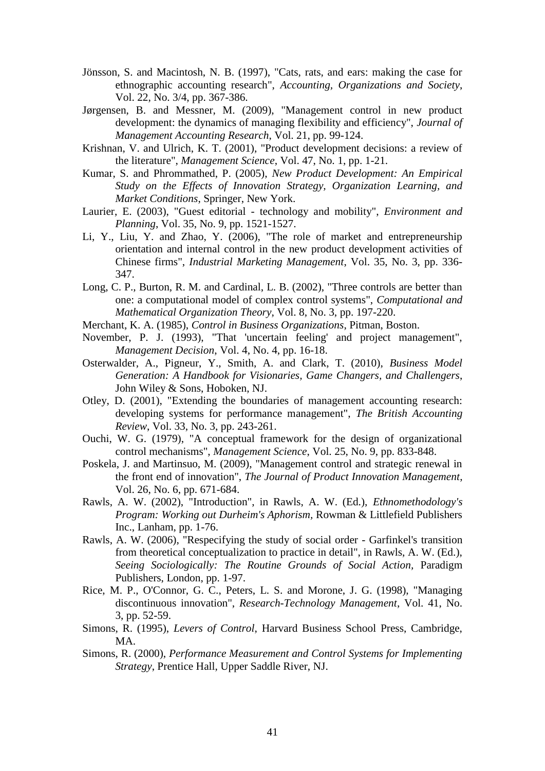- Jönsson, S. and Macintosh, N. B. (1997), "Cats, rats, and ears: making the case for ethnographic accounting research", *Accounting, Organizations and Society*, Vol. 22, No. 3/4, pp. 367-386.
- Jørgensen, B. and Messner, M. (2009), "Management control in new product development: the dynamics of managing flexibility and efficiency", *Journal of Management Accounting Research*, Vol. 21, pp. 99-124.
- Krishnan, V. and Ulrich, K. T. (2001), "Product development decisions: a review of the literature", *Management Science*, Vol. 47, No. 1, pp. 1-21.
- Kumar, S. and Phrommathed, P. (2005), *New Product Development: An Empirical Study on the Effects of Innovation Strategy, Organization Learning, and Market Conditions*, Springer, New York.
- Laurier, E. (2003), "Guest editorial technology and mobility", *Environment and Planning*, Vol. 35, No. 9, pp. 1521-1527.
- Li, Y., Liu, Y. and Zhao, Y. (2006), "The role of market and entrepreneurship orientation and internal control in the new product development activities of Chinese firms", *Industrial Marketing Management*, Vol. 35, No. 3, pp. 336- 347.
- Long, C. P., Burton, R. M. and Cardinal, L. B. (2002), "Three controls are better than one: a computational model of complex control systems", *Computational and Mathematical Organization Theory*, Vol. 8, No. 3, pp. 197-220.
- Merchant, K. A. (1985), *Control in Business Organizations*, Pitman, Boston.
- November, P. J. (1993), "That 'uncertain feeling' and project management", *Management Decision*, Vol. 4, No. 4, pp. 16-18.
- Osterwalder, A., Pigneur, Y., Smith, A. and Clark, T. (2010), *Business Model Generation: A Handbook for Visionaries, Game Changers, and Challengers*, John Wiley & Sons, Hoboken, NJ.
- Otley, D. (2001), "Extending the boundaries of management accounting research: developing systems for performance management", *The British Accounting Review*, Vol. 33, No. 3, pp. 243-261.
- Ouchi, W. G. (1979), "A conceptual framework for the design of organizational control mechanisms", *Management Science*, Vol. 25, No. 9, pp. 833-848.
- Poskela, J. and Martinsuo, M. (2009), "Management control and strategic renewal in the front end of innovation", *The Journal of Product Innovation Management*, Vol. 26, No. 6, pp. 671-684.
- Rawls, A. W. (2002), "Introduction", in Rawls, A. W. (Ed.), *Ethnomethodology's Program: Working out Durheim's Aphorism,* Rowman & Littlefield Publishers Inc., Lanham, pp. 1-76.
- Rawls, A. W. (2006), "Respecifying the study of social order Garfinkel's transition from theoretical conceptualization to practice in detail", in Rawls, A. W. (Ed.), *Seeing Sociologically: The Routine Grounds of Social Action,* Paradigm Publishers, London, pp. 1-97.
- Rice, M. P., O'Connor, G. C., Peters, L. S. and Morone, J. G. (1998), "Managing discontinuous innovation", *Research-Technology Management*, Vol. 41, No. 3, pp. 52-59.
- Simons, R. (1995), *Levers of Control*, Harvard Business School Press, Cambridge, MA.
- Simons, R. (2000), *Performance Measurement and Control Systems for Implementing Strategy*, Prentice Hall, Upper Saddle River, NJ.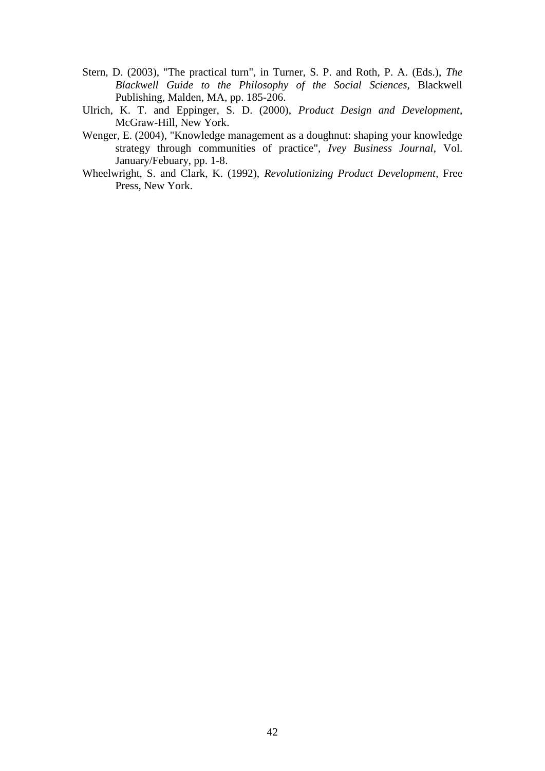- Stern, D. (2003), "The practical turn", in Turner, S. P. and Roth, P. A. (Eds.), *The Blackwell Guide to the Philosophy of the Social Sciences,* Blackwell Publishing, Malden, MA, pp. 185-206.
- Ulrich, K. T. and Eppinger, S. D. (2000), *Product Design and Development*, McGraw-Hill, New York.
- Wenger, E. (2004), "Knowledge management as a doughnut: shaping your knowledge strategy through communities of practice", *Ivey Business Journal*, Vol. January/Febuary, pp. 1-8.
- Wheelwright, S. and Clark, K. (1992), *Revolutionizing Product Development*, Free Press, New York.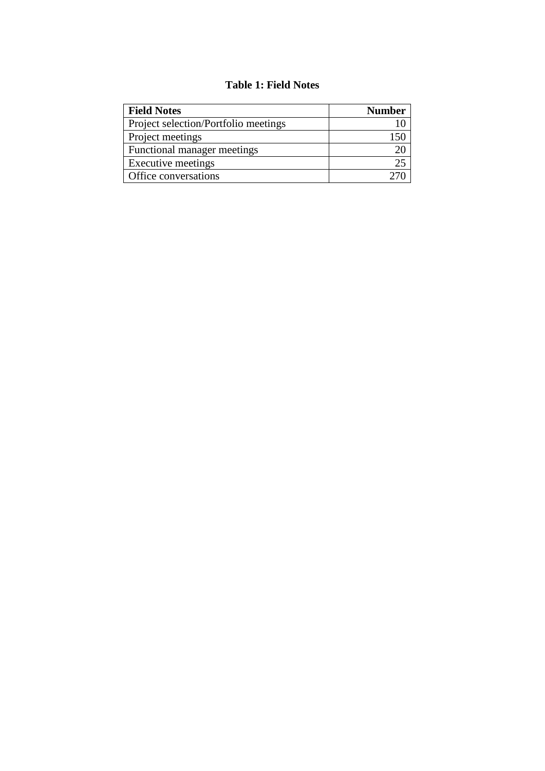# **Table 1: Field Notes**

| <b>Field Notes</b>                   | <b>Number</b> |
|--------------------------------------|---------------|
| Project selection/Portfolio meetings |               |
| Project meetings                     |               |
| Functional manager meetings          |               |
| Executive meetings                   |               |
| Office conversations                 |               |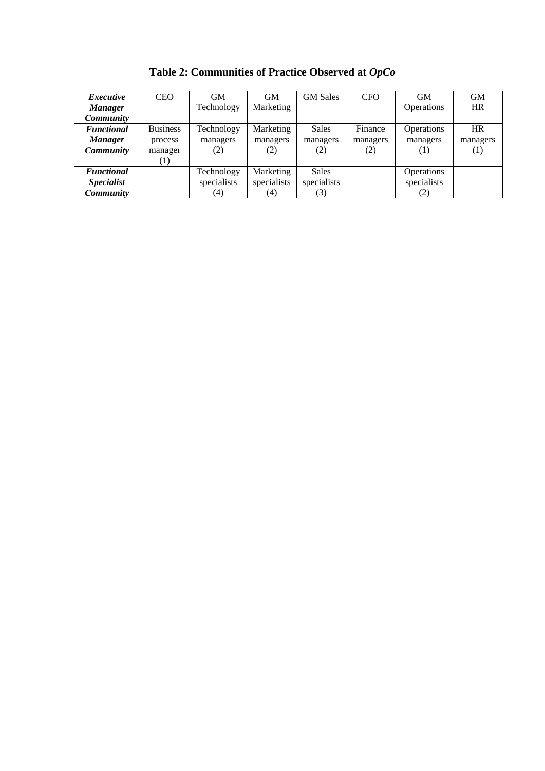| <i>Executive</i>  | <b>CEO</b>      | <b>GM</b>   | <b>GM</b>   | <b>GM</b> Sales | <b>CFO</b> | <b>GM</b>         | <b>GM</b> |
|-------------------|-----------------|-------------|-------------|-----------------|------------|-------------------|-----------|
| <b>Manager</b>    |                 | Technology  | Marketing   |                 |            | Operations        | <b>HR</b> |
| <b>Community</b>  |                 |             |             |                 |            |                   |           |
| <b>Functional</b> | <b>Business</b> | Technology  | Marketing   | Sales           | Finance    | <b>Operations</b> | <b>HR</b> |
| <b>Manager</b>    | process         | managers    | managers    | managers        | managers   | managers          | managers  |
| <b>Community</b>  | manager         | (2)         | (2)         | (2)             | (2)        | (1)               | (1)       |
|                   | [1]             |             |             |                 |            |                   |           |
| <b>Functional</b> |                 | Technology  | Marketing   | Sales           |            | Operations        |           |
| <b>Specialist</b> |                 | specialists | specialists | specialists     |            | specialists       |           |
| Community         |                 | (4)         | (4)         | 3)              |            | (2)               |           |

**Table 2: Communities of Practice Observed at** *OpCo*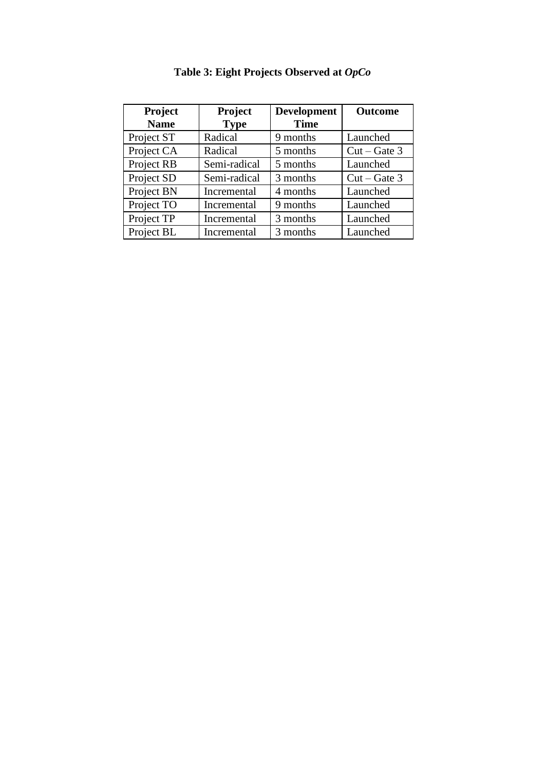| Project<br><b>Name</b> | Project<br><b>Type</b> | <b>Development</b><br><b>Time</b> | <b>Outcome</b> |
|------------------------|------------------------|-----------------------------------|----------------|
| Project ST             | Radical                | 9 months                          | Launched       |
| Project CA             | Radical                | 5 months                          | $Cut - Gate$ 3 |
| Project RB             | Semi-radical           | 5 months                          | Launched       |
| Project SD             | Semi-radical           | 3 months                          | $Cut - Gate$ 3 |
| Project BN             | Incremental            | 4 months                          | Launched       |
| Project TO             | Incremental            | 9 months                          | Launched       |
| Project TP             | Incremental            | 3 months                          | Launched       |
| Project BL             | Incremental            | 3 months                          | Launched       |

**Table 3: Eight Projects Observed at** *OpCo*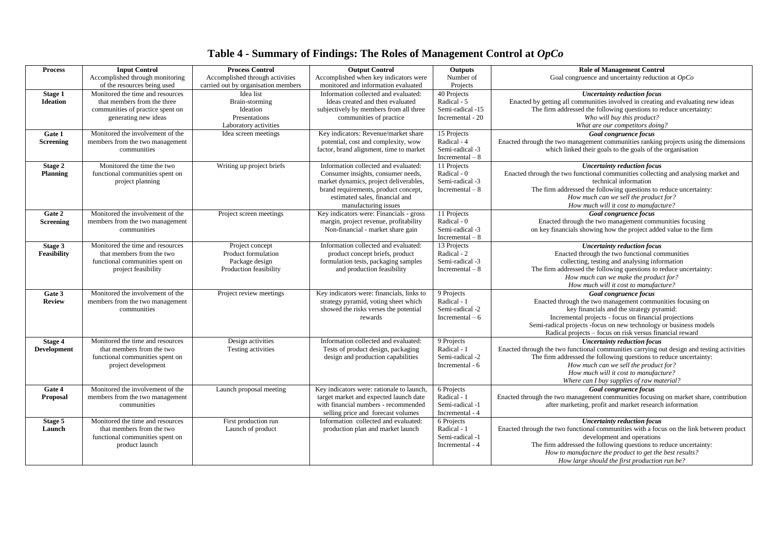# **Table 4 - Summary of Findings: The Roles of Management Control at** *OpCo*

| <b>Process</b>   | <b>Input Control</b>                                         | <b>Process Control</b>              | <b>Output Control</b>                                                    | Outputs                   | <b>Role of Management Control</b>                                                                                                                              |
|------------------|--------------------------------------------------------------|-------------------------------------|--------------------------------------------------------------------------|---------------------------|----------------------------------------------------------------------------------------------------------------------------------------------------------------|
|                  | Accomplished through monitoring                              | Accomplished through activities     | Accomplished when key indicators were                                    | Number of                 | Goal congruence and uncertainty reduction at $OpCo$                                                                                                            |
|                  | of the resources being used                                  | carried out by organisation members | monitored and information evaluated                                      | Projects                  |                                                                                                                                                                |
| Stage 1          | Monitored the time and resources                             | Idea list                           | Information collected and evaluated:                                     | 40 Projects               | <b>Uncertainty reduction focus</b>                                                                                                                             |
| <b>Ideation</b>  | that members from the three                                  | Brain-storming                      | Ideas created and then evaluated                                         | Radical - 5               | Enacted by getting all communities involved in creating and evaluating new ideas                                                                               |
|                  | communities of practice spent on                             | Ideation                            | subjectively by members from all three                                   | Semi-radical -15          | The firm addressed the following questions to reduce uncertainty:                                                                                              |
|                  | generating new ideas                                         | Presentations                       | communities of practice                                                  | Incremental - 20          | Who will buy this product?                                                                                                                                     |
|                  |                                                              | Laboratory activities               |                                                                          |                           | What are our competitors doing?                                                                                                                                |
| Gate 1           | Monitored the involvement of the                             | Idea screen meetings                | Key indicators: Revenue/market share                                     | 15 Projects               | Goal congruence focus                                                                                                                                          |
| <b>Screening</b> | members from the two management                              |                                     | potential, cost and complexity, wow                                      | Radical - 4               | Enacted through the two management communities ranking projects using the dimensions                                                                           |
|                  | communities                                                  |                                     | factor, brand alignment, time to market                                  | Semi-radical -3           | which linked their goals to the goals of the organisation                                                                                                      |
|                  |                                                              |                                     |                                                                          | $Incremental - 8$         |                                                                                                                                                                |
| Stage 2          | Monitored the time the two                                   | Writing up project briefs           | Information collected and evaluated:                                     | 11 Projects               | <b>Uncertainty reduction focus</b>                                                                                                                             |
| <b>Planning</b>  | functional communities spent on                              |                                     | Consumer insights, consumer needs,                                       | Radical - 0               | Enacted through the two functional communities collecting and analysing market and                                                                             |
|                  | project planning                                             |                                     | market dynamics, project deliverables,                                   | Semi-radical -3           | technical information                                                                                                                                          |
|                  |                                                              |                                     | brand requirements, product concept,                                     | Incremental $-8$          | The firm addressed the following questions to reduce uncertainty:                                                                                              |
|                  |                                                              |                                     | estimated sales, financial and                                           |                           | How much can we sell the product for?                                                                                                                          |
|                  |                                                              |                                     | manufacturing issues                                                     |                           | How much will it cost to manufacture?                                                                                                                          |
| Gate 2           | Monitored the involvement of the                             | Project screen meetings             | Key indicators were: Financials - gross                                  | 11 Projects               | Goal congruence focus                                                                                                                                          |
| <b>Screening</b> | members from the two management                              |                                     | margin, project revenue, profitability                                   | Radical - 0               | Enacted through the two management communities focusing                                                                                                        |
|                  | communities                                                  |                                     | Non-financial - market share gain                                        | Semi-radical -3           | on key financials showing how the project added value to the firm                                                                                              |
|                  |                                                              |                                     |                                                                          | Incremental $-8$          |                                                                                                                                                                |
| Stage 3          | Monitored the time and resources                             | Project concept                     | Information collected and evaluated:                                     | 13 Projects               | <b>Uncertainty reduction focus</b>                                                                                                                             |
| Feasibility      | that members from the two                                    | Product formulation                 | product concept briefs, product                                          | Radical - 2               | Enacted through the two functional communities                                                                                                                 |
|                  | functional communities spent on                              | Package design                      | formulation tests, packaging samples                                     | Semi-radical -3           | collecting, testing and analysing information                                                                                                                  |
|                  | project feasibility                                          | Production feasibility              | and production feasibility                                               | Incremental $-8$          | The firm addressed the following questions to reduce uncertainty:                                                                                              |
|                  |                                                              |                                     |                                                                          |                           | How much can we make the product for?                                                                                                                          |
|                  |                                                              |                                     |                                                                          |                           | How much will it cost to manufacture?                                                                                                                          |
| Gate 3           | Monitored the involvement of the                             | Project review meetings             | Key indicators were: financials, links to                                | 9 Projects                | Goal congruence focus                                                                                                                                          |
| <b>Review</b>    | members from the two management                              |                                     | strategy pyramid, voting sheet which                                     | Radical - 1               | Enacted through the two management communities focusing on                                                                                                     |
|                  | communities                                                  |                                     | showed the risks verses the potential                                    | Semi-radical -2           | key financials and the strategy pyramid:                                                                                                                       |
|                  |                                                              |                                     | rewards                                                                  | Incremental $-6$          | Incremental projects - focus on financial projections                                                                                                          |
|                  |                                                              |                                     |                                                                          |                           | Semi-radical projects -focus on new technology or business models                                                                                              |
|                  |                                                              |                                     |                                                                          |                           | Radical projects - focus on risk versus financial reward                                                                                                       |
| Stage 4          | Monitored the time and resources                             | Design activities                   | Information collected and evaluated:                                     | 9 Projects<br>Radical - 1 | <b>Uncertainty reduction focus</b>                                                                                                                             |
| Development      | that members from the two<br>functional communities spent on | Testing activities                  | Tests of product design, packaging<br>design and production capabilities | Semi-radical -2           | Enacted through the two functional communities carrying out design and testing activities<br>The firm addressed the following questions to reduce uncertainty: |
|                  | project development                                          |                                     |                                                                          | Incremental - 6           | How much can we sell the product for?                                                                                                                          |
|                  |                                                              |                                     |                                                                          |                           | How much will it cost to manufacture?                                                                                                                          |
|                  |                                                              |                                     |                                                                          |                           | Where can I buy supplies of raw material?                                                                                                                      |
| Gate 4           | Monitored the involvement of the                             | Launch proposal meeting             | Key indicators were: rationale to launch,                                | 6 Projects                | <b>Goal congruence focus</b>                                                                                                                                   |
| Proposal         | members from the two management                              |                                     | target market and expected launch date                                   | Radical - 1               | Enacted through the two management communities focusing on market share, contribution                                                                          |
|                  | communities                                                  |                                     | with financial numbers - recommended                                     | Semi-radical -1           | after marketing, profit and market research information                                                                                                        |
|                  |                                                              |                                     | selling price and forecast volumes                                       | Incremental - 4           |                                                                                                                                                                |
| Stage 5          | Monitored the time and resources                             | First production run                | Information collected and evaluated:                                     | 6 Projects                | <b>Uncertainty reduction focus</b>                                                                                                                             |
| Launch           | that members from the two                                    | Launch of product                   | production plan and market launch                                        | Radical - 1               | Enacted through the two functional communities with a focus on the link between product                                                                        |
|                  | functional communities spent on                              |                                     |                                                                          | Semi-radical -1           | development and operations                                                                                                                                     |
|                  | product launch                                               |                                     |                                                                          | Incremental - 4           | The firm addressed the following questions to reduce uncertainty:                                                                                              |
|                  |                                                              |                                     |                                                                          |                           | How to manufacture the product to get the best results?                                                                                                        |
|                  |                                                              |                                     |                                                                          |                           | How large should the first production run be?                                                                                                                  |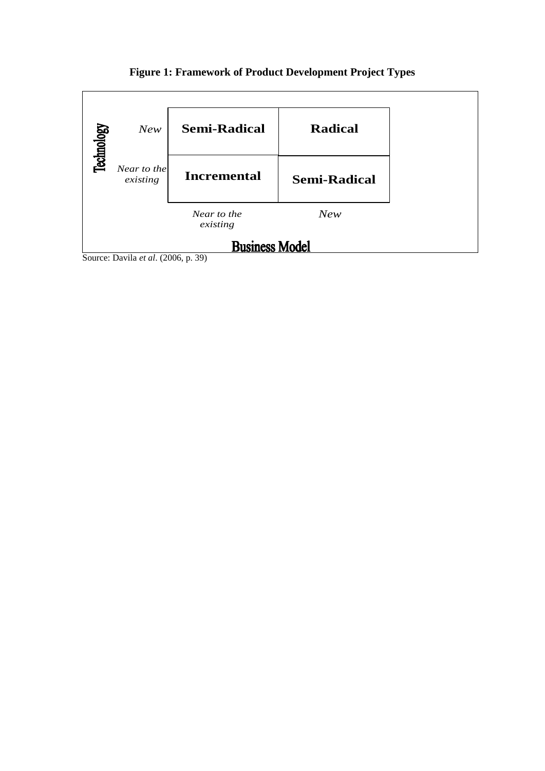# **Figure 1: Framework of Product Development Project Types**



Source: Davila *et al*. (2006, p. 39)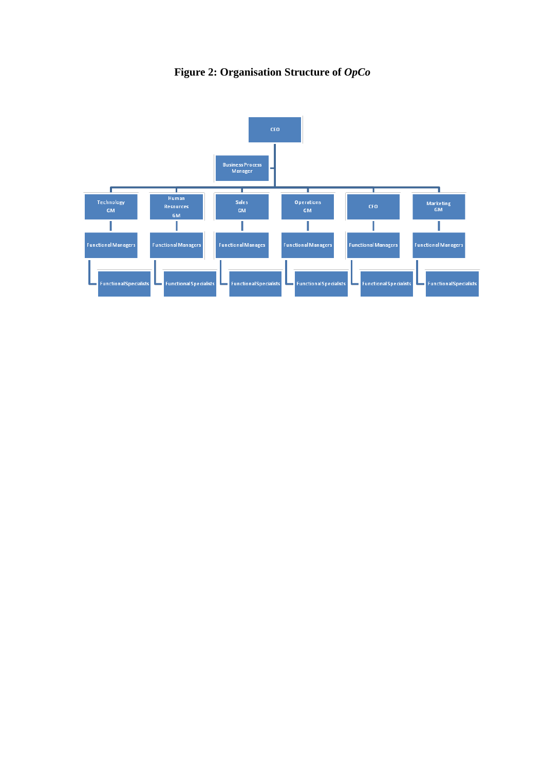# **Figure 2: Organisation Structure of** *OpCo*

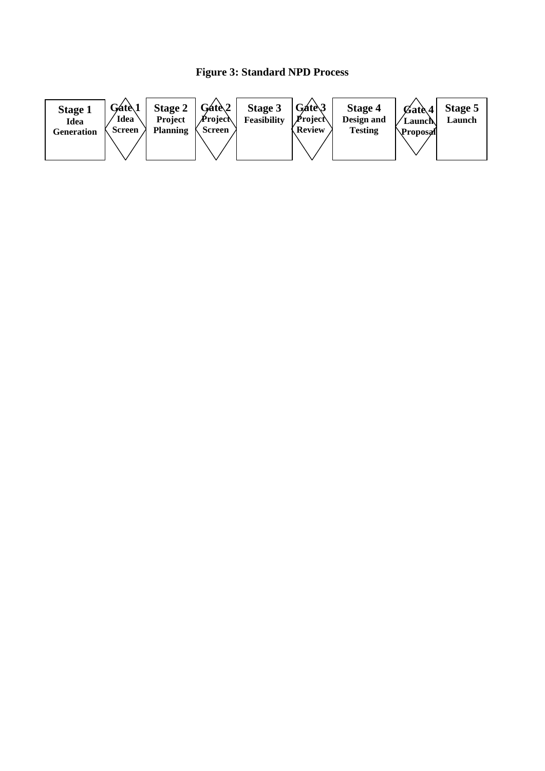# **Figure 3: Standard NPD Process**